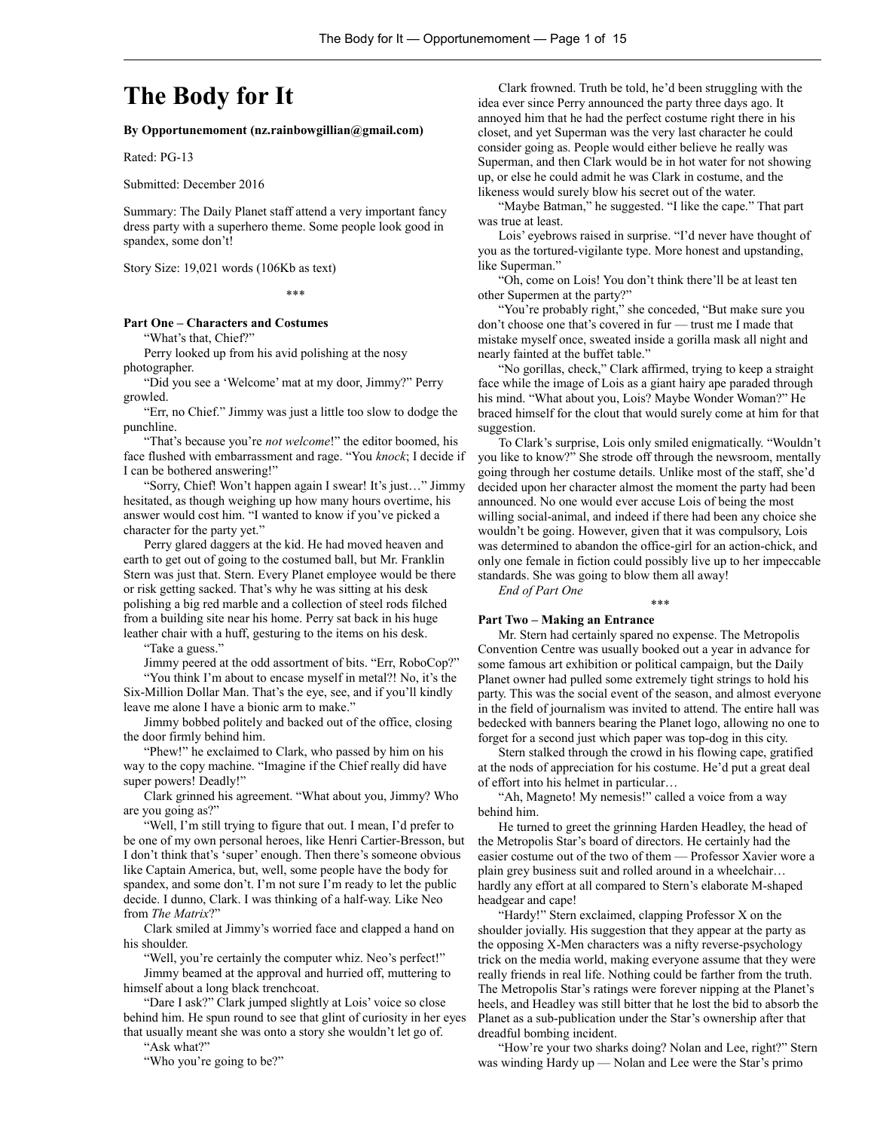# **The Body for It**

**By Opportunemoment (nz.rainbowgillian@gmail.com)**

Rated: PG-13

Submitted: December 2016

Summary: The Daily Planet staff attend a very important fancy dress party with a superhero theme. Some people look good in spandex, some don't!

Story Size: 19,021 words (106Kb as text)

#### \*\*\*

## **Part One – Characters and Costumes**

"What's that, Chief?"

Perry looked up from his avid polishing at the nosy photographer.

"Did you see a 'Welcome' mat at my door, Jimmy?" Perry growled.

"Err, no Chief." Jimmy was just a little too slow to dodge the punchline.

"That's because you're *not welcome*!" the editor boomed, his face flushed with embarrassment and rage. "You *knock*; I decide if I can be bothered answering!"

"Sorry, Chief! Won't happen again I swear! It's just…" Jimmy hesitated, as though weighing up how many hours overtime, his answer would cost him. "I wanted to know if you've picked a character for the party yet."

Perry glared daggers at the kid. He had moved heaven and earth to get out of going to the costumed ball, but Mr. Franklin Stern was just that. Stern. Every Planet employee would be there or risk getting sacked. That's why he was sitting at his desk polishing a big red marble and a collection of steel rods filched from a building site near his home. Perry sat back in his huge leather chair with a huff, gesturing to the items on his desk.

"Take a guess."

Jimmy peered at the odd assortment of bits. "Err, RoboCop?" "You think I'm about to encase myself in metal?! No, it's the Six-Million Dollar Man. That's the eye, see, and if you'll kindly leave me alone I have a bionic arm to make."

Jimmy bobbed politely and backed out of the office, closing the door firmly behind him.

"Phew!" he exclaimed to Clark, who passed by him on his way to the copy machine. "Imagine if the Chief really did have super powers! Deadly!"

Clark grinned his agreement. "What about you, Jimmy? Who are you going as?"

"Well, I'm still trying to figure that out. I mean, I'd prefer to be one of my own personal heroes, like Henri Cartier-Bresson, but I don't think that's 'super' enough. Then there's someone obvious like Captain America, but, well, some people have the body for spandex, and some don't. I'm not sure I'm ready to let the public decide. I dunno, Clark. I was thinking of a half-way. Like Neo from *The Matrix*?"

Clark smiled at Jimmy's worried face and clapped a hand on his shoulder.

"Well, you're certainly the computer whiz. Neo's perfect!"

Jimmy beamed at the approval and hurried off, muttering to himself about a long black trenchcoat.

"Dare I ask?" Clark jumped slightly at Lois' voice so close behind him. He spun round to see that glint of curiosity in her eyes that usually meant she was onto a story she wouldn't let go of. "Ask what?"

"Who you're going to be?"

Clark frowned. Truth be told, he'd been struggling with the idea ever since Perry announced the party three days ago. It annoyed him that he had the perfect costume right there in his closet, and yet Superman was the very last character he could consider going as. People would either believe he really was Superman, and then Clark would be in hot water for not showing up, or else he could admit he was Clark in costume, and the likeness would surely blow his secret out of the water.

"Maybe Batman," he suggested. "I like the cape." That part was true at least.

Lois' eyebrows raised in surprise. "I'd never have thought of you as the tortured-vigilante type. More honest and upstanding, like Superman."

"Oh, come on Lois! You don't think there'll be at least ten other Supermen at the party?"

"You're probably right," she conceded, "But make sure you don't choose one that's covered in fur — trust me I made that mistake myself once, sweated inside a gorilla mask all night and nearly fainted at the buffet table."

"No gorillas, check," Clark affirmed, trying to keep a straight face while the image of Lois as a giant hairy ape paraded through his mind. "What about you, Lois? Maybe Wonder Woman?" He braced himself for the clout that would surely come at him for that suggestion.

To Clark's surprise, Lois only smiled enigmatically. "Wouldn't you like to know?" She strode off through the newsroom, mentally going through her costume details. Unlike most of the staff, she'd decided upon her character almost the moment the party had been announced. No one would ever accuse Lois of being the most willing social-animal, and indeed if there had been any choice she wouldn't be going. However, given that it was compulsory, Lois was determined to abandon the office-girl for an action-chick, and only one female in fiction could possibly live up to her impeccable standards. She was going to blow them all away!

*End of Part One*

#### **Part Two – Making an Entrance**

Mr. Stern had certainly spared no expense. The Metropolis Convention Centre was usually booked out a year in advance for some famous art exhibition or political campaign, but the Daily Planet owner had pulled some extremely tight strings to hold his party. This was the social event of the season, and almost everyone in the field of journalism was invited to attend. The entire hall was bedecked with banners bearing the Planet logo, allowing no one to forget for a second just which paper was top-dog in this city.

\*\*\*

Stern stalked through the crowd in his flowing cape, gratified at the nods of appreciation for his costume. He'd put a great deal of effort into his helmet in particular…

"Ah, Magneto! My nemesis!" called a voice from a way behind him.

He turned to greet the grinning Harden Headley, the head of the Metropolis Star's board of directors. He certainly had the easier costume out of the two of them — Professor Xavier wore a plain grey business suit and rolled around in a wheelchair… hardly any effort at all compared to Stern's elaborate M-shaped headgear and cape!

"Hardy!" Stern exclaimed, clapping Professor X on the shoulder jovially. His suggestion that they appear at the party as the opposing X-Men characters was a nifty reverse-psychology trick on the media world, making everyone assume that they were really friends in real life. Nothing could be farther from the truth. The Metropolis Star's ratings were forever nipping at the Planet's heels, and Headley was still bitter that he lost the bid to absorb the Planet as a sub-publication under the Star's ownership after that dreadful bombing incident.

"How're your two sharks doing? Nolan and Lee, right?" Stern was winding Hardy up — Nolan and Lee were the Star's primo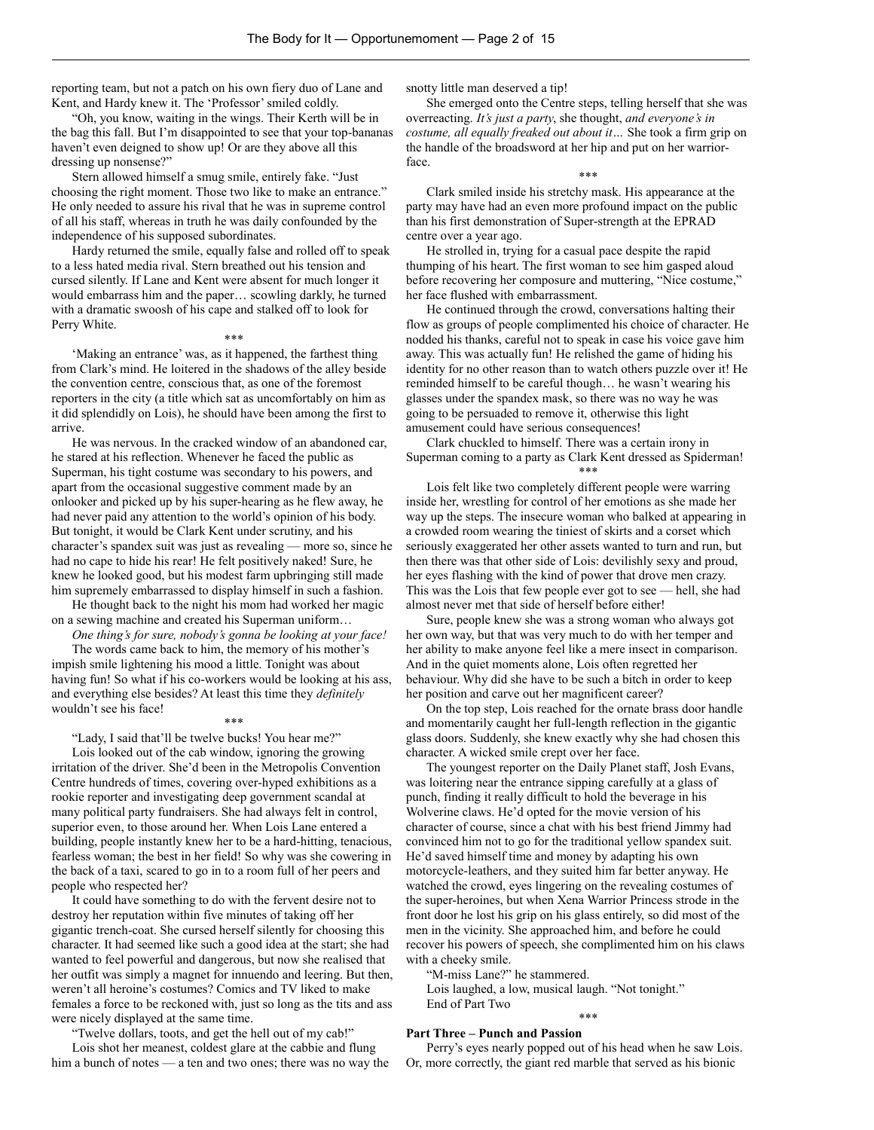reporting team, but not a patch on his own fiery duo of Lane and Kent, and Hardy knew it. The 'Professor' smiled coldly.

"Oh, you know, waiting in the wings. Their Kerth will be in the bag this fall. But I'm disappointed to see that your top-bananas haven't even deigned to show up! Or are they above all this dressing up nonsense?"

Stern allowed himself a smug smile, entirely fake. "Just choosing the right moment. Those two like to make an entrance." He only needed to assure his rival that he was in supreme control of all his staff, whereas in truth he was daily confounded by the independence of his supposed subordinates.

Hardy returned the smile, equally false and rolled off to speak to a less hated media rival. Stern breathed out his tension and cursed silently. If Lane and Kent were absent for much longer it would embarrass him and the paper… scowling darkly, he turned with a dramatic swoosh of his cape and stalked off to look for Perry White.

\*\*\*

'Making an entrance' was, as it happened, the farthest thing from Clark's mind. He loitered in the shadows of the alley beside the convention centre, conscious that, as one of the foremost reporters in the city (a title which sat as uncomfortably on him as it did splendidly on Lois), he should have been among the first to arrive.

He was nervous. In the cracked window of an abandoned car, he stared at his reflection. Whenever he faced the public as Superman, his tight costume was secondary to his powers, and apart from the occasional suggestive comment made by an onlooker and picked up by his super-hearing as he flew away, he had never paid any attention to the world's opinion of his body. But tonight, it would be Clark Kent under scrutiny, and his character's spandex suit was just as revealing — more so, since he had no cape to hide his rear! He felt positively naked! Sure, he knew he looked good, but his modest farm upbringing still made him supremely embarrassed to display himself in such a fashion.

He thought back to the night his mom had worked her magic on a sewing machine and created his Superman uniform…

*One thing's for sure, nobody's gonna be looking at your face!*

The words came back to him, the memory of his mother's impish smile lightening his mood a little. Tonight was about having fun! So what if his co-workers would be looking at his ass, and everything else besides? At least this time they *definitely* wouldn't see his face!

## \*\*\*

"Lady, I said that'll be twelve bucks! You hear me?"

Lois looked out of the cab window, ignoring the growing irritation of the driver. She'd been in the Metropolis Convention Centre hundreds of times, covering over-hyped exhibitions as a rookie reporter and investigating deep government scandal at many political party fundraisers. She had always felt in control, superior even, to those around her. When Lois Lane entered a building, people instantly knew her to be a hard-hitting, tenacious, fearless woman; the best in her field! So why was she cowering in the back of a taxi, scared to go in to a room full of her peers and people who respected her?

It could have something to do with the fervent desire not to destroy her reputation within five minutes of taking off her gigantic trench-coat. She cursed herself silently for choosing this character. It had seemed like such a good idea at the start; she had wanted to feel powerful and dangerous, but now she realised that her outfit was simply a magnet for innuendo and leering. But then, weren't all heroine's costumes? Comics and TV liked to make females a force to be reckoned with, just so long as the tits and ass were nicely displayed at the same time.

"Twelve dollars, toots, and get the hell out of my cab!"

Lois shot her meanest, coldest glare at the cabbie and flung him a bunch of notes — a ten and two ones; there was no way the snotty little man deserved a tip!

She emerged onto the Centre steps, telling herself that she was overreacting. *It's just a party*, she thought, *and everyone's in costume, all equally freaked out about it…* She took a firm grip on the handle of the broadsword at her hip and put on her warriorface.

## \*\*\*

Clark smiled inside his stretchy mask. His appearance at the party may have had an even more profound impact on the public than his first demonstration of Super-strength at the EPRAD centre over a year ago.

He strolled in, trying for a casual pace despite the rapid thumping of his heart. The first woman to see him gasped aloud before recovering her composure and muttering, "Nice costume," her face flushed with embarrassment.

He continued through the crowd, conversations halting their flow as groups of people complimented his choice of character. He nodded his thanks, careful not to speak in case his voice gave him away. This was actually fun! He relished the game of hiding his identity for no other reason than to watch others puzzle over it! He reminded himself to be careful though… he wasn't wearing his glasses under the spandex mask, so there was no way he was going to be persuaded to remove it, otherwise this light amusement could have serious consequences!

Clark chuckled to himself. There was a certain irony in Superman coming to a party as Clark Kent dressed as Spiderman! \*\*\*

Lois felt like two completely different people were warring inside her, wrestling for control of her emotions as she made her way up the steps. The insecure woman who balked at appearing in a crowded room wearing the tiniest of skirts and a corset which seriously exaggerated her other assets wanted to turn and run, but then there was that other side of Lois: devilishly sexy and proud, her eyes flashing with the kind of power that drove men crazy. This was the Lois that few people ever got to see — hell, she had almost never met that side of herself before either!

Sure, people knew she was a strong woman who always got her own way, but that was very much to do with her temper and her ability to make anyone feel like a mere insect in comparison. And in the quiet moments alone, Lois often regretted her behaviour. Why did she have to be such a bitch in order to keep her position and carve out her magnificent career?

On the top step, Lois reached for the ornate brass door handle and momentarily caught her full-length reflection in the gigantic glass doors. Suddenly, she knew exactly why she had chosen this character. A wicked smile crept over her face.

The youngest reporter on the Daily Planet staff, Josh Evans, was loitering near the entrance sipping carefully at a glass of punch, finding it really difficult to hold the beverage in his Wolverine claws. He'd opted for the movie version of his character of course, since a chat with his best friend Jimmy had convinced him not to go for the traditional yellow spandex suit. He'd saved himself time and money by adapting his own motorcycle-leathers, and they suited him far better anyway. He watched the crowd, eyes lingering on the revealing costumes of the super-heroines, but when Xena Warrior Princess strode in the front door he lost his grip on his glass entirely, so did most of the men in the vicinity. She approached him, and before he could recover his powers of speech, she complimented him on his claws with a cheeky smile.

"M-miss Lane?" he stammered.

Lois laughed, a low, musical laugh. "Not tonight." End of Part Two

# \*\*\*

# **Part Three – Punch and Passion**

Perry's eyes nearly popped out of his head when he saw Lois. Or, more correctly, the giant red marble that served as his bionic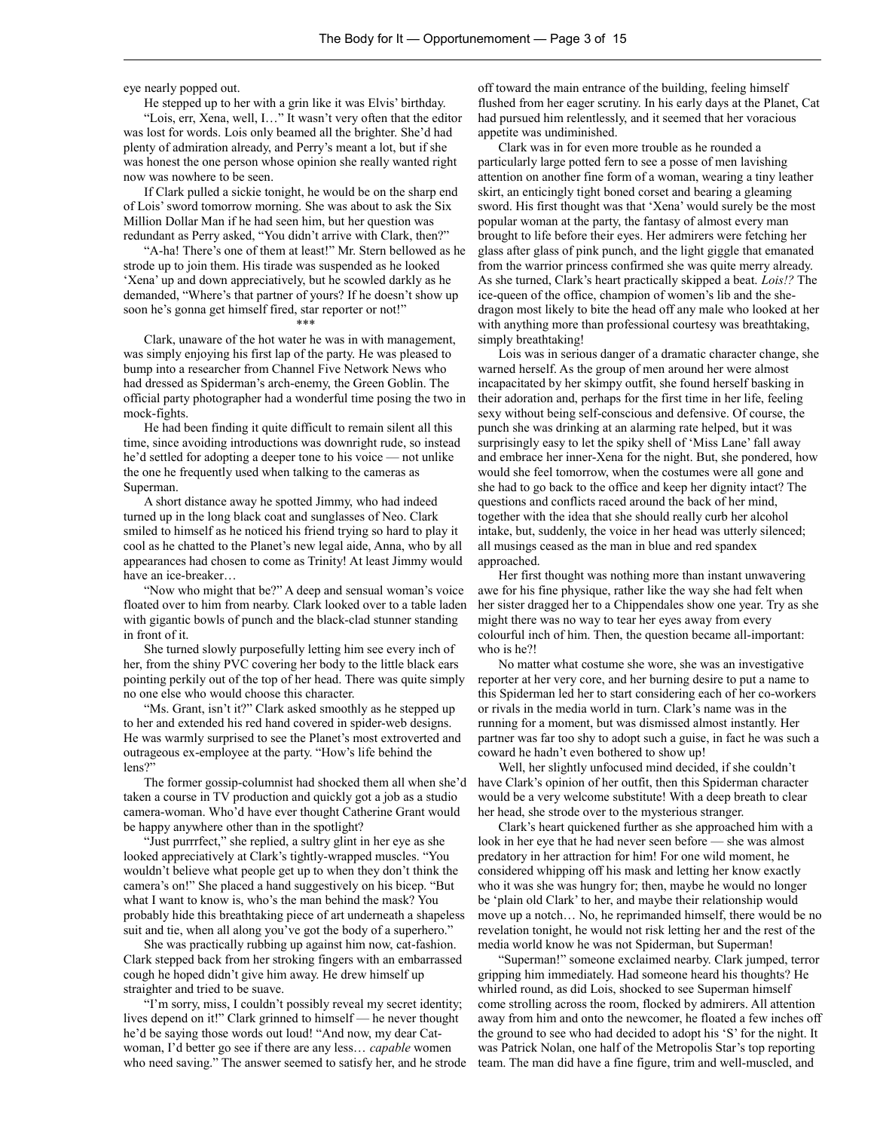eye nearly popped out.

He stepped up to her with a grin like it was Elvis' birthday.

"Lois, err, Xena, well, I…" It wasn't very often that the editor was lost for words. Lois only beamed all the brighter. She'd had plenty of admiration already, and Perry's meant a lot, but if she was honest the one person whose opinion she really wanted right now was nowhere to be seen.

If Clark pulled a sickie tonight, he would be on the sharp end of Lois' sword tomorrow morning. She was about to ask the Six Million Dollar Man if he had seen him, but her question was redundant as Perry asked, "You didn't arrive with Clark, then?"

"A-ha! There's one of them at least!" Mr. Stern bellowed as he strode up to join them. His tirade was suspended as he looked 'Xena' up and down appreciatively, but he scowled darkly as he demanded, "Where's that partner of yours? If he doesn't show up soon he's gonna get himself fired, star reporter or not!"

### \*\*\*

Clark, unaware of the hot water he was in with management, was simply enjoying his first lap of the party. He was pleased to bump into a researcher from Channel Five Network News who had dressed as Spiderman's arch-enemy, the Green Goblin. The official party photographer had a wonderful time posing the two in mock-fights.

He had been finding it quite difficult to remain silent all this time, since avoiding introductions was downright rude, so instead he'd settled for adopting a deeper tone to his voice — not unlike the one he frequently used when talking to the cameras as Superman.

A short distance away he spotted Jimmy, who had indeed turned up in the long black coat and sunglasses of Neo. Clark smiled to himself as he noticed his friend trying so hard to play it cool as he chatted to the Planet's new legal aide, Anna, who by all appearances had chosen to come as Trinity! At least Jimmy would have an ice-breaker…

"Now who might that be?" A deep and sensual woman's voice floated over to him from nearby. Clark looked over to a table laden with gigantic bowls of punch and the black-clad stunner standing in front of it.

She turned slowly purposefully letting him see every inch of her, from the shiny PVC covering her body to the little black ears pointing perkily out of the top of her head. There was quite simply no one else who would choose this character.

"Ms. Grant, isn't it?" Clark asked smoothly as he stepped up to her and extended his red hand covered in spider-web designs. He was warmly surprised to see the Planet's most extroverted and outrageous ex-employee at the party. "How's life behind the lens?"

The former gossip-columnist had shocked them all when she'd taken a course in TV production and quickly got a job as a studio camera-woman. Who'd have ever thought Catherine Grant would be happy anywhere other than in the spotlight?

"Just purrrfect," she replied, a sultry glint in her eye as she looked appreciatively at Clark's tightly-wrapped muscles. "You wouldn't believe what people get up to when they don't think the camera's on!" She placed a hand suggestively on his bicep. "But what I want to know is, who's the man behind the mask? You probably hide this breathtaking piece of art underneath a shapeless suit and tie, when all along you've got the body of a superhero."

She was practically rubbing up against him now, cat-fashion. Clark stepped back from her stroking fingers with an embarrassed cough he hoped didn't give him away. He drew himself up straighter and tried to be suave.

"I'm sorry, miss, I couldn't possibly reveal my secret identity; lives depend on it!" Clark grinned to himself — he never thought he'd be saying those words out loud! "And now, my dear Catwoman, I'd better go see if there are any less… *capable* women who need saving." The answer seemed to satisfy her, and he strode off toward the main entrance of the building, feeling himself flushed from her eager scrutiny. In his early days at the Planet, Cat had pursued him relentlessly, and it seemed that her voracious appetite was undiminished.

Clark was in for even more trouble as he rounded a particularly large potted fern to see a posse of men lavishing attention on another fine form of a woman, wearing a tiny leather skirt, an enticingly tight boned corset and bearing a gleaming sword. His first thought was that 'Xena' would surely be the most popular woman at the party, the fantasy of almost every man brought to life before their eyes. Her admirers were fetching her glass after glass of pink punch, and the light giggle that emanated from the warrior princess confirmed she was quite merry already. As she turned, Clark's heart practically skipped a beat. *Lois!?* The ice-queen of the office, champion of women's lib and the shedragon most likely to bite the head off any male who looked at her with anything more than professional courtesy was breathtaking, simply breathtaking!

Lois was in serious danger of a dramatic character change, she warned herself. As the group of men around her were almost incapacitated by her skimpy outfit, she found herself basking in their adoration and, perhaps for the first time in her life, feeling sexy without being self-conscious and defensive. Of course, the punch she was drinking at an alarming rate helped, but it was surprisingly easy to let the spiky shell of 'Miss Lane' fall away and embrace her inner-Xena for the night. But, she pondered, how would she feel tomorrow, when the costumes were all gone and she had to go back to the office and keep her dignity intact? The questions and conflicts raced around the back of her mind, together with the idea that she should really curb her alcohol intake, but, suddenly, the voice in her head was utterly silenced; all musings ceased as the man in blue and red spandex approached.

Her first thought was nothing more than instant unwavering awe for his fine physique, rather like the way she had felt when her sister dragged her to a Chippendales show one year. Try as she might there was no way to tear her eyes away from every colourful inch of him. Then, the question became all-important: who is he?!

No matter what costume she wore, she was an investigative reporter at her very core, and her burning desire to put a name to this Spiderman led her to start considering each of her co-workers or rivals in the media world in turn. Clark's name was in the running for a moment, but was dismissed almost instantly. Her partner was far too shy to adopt such a guise, in fact he was such a coward he hadn't even bothered to show up!

Well, her slightly unfocused mind decided, if she couldn't have Clark's opinion of her outfit, then this Spiderman character would be a very welcome substitute! With a deep breath to clear her head, she strode over to the mysterious stranger.

Clark's heart quickened further as she approached him with a look in her eye that he had never seen before — she was almost predatory in her attraction for him! For one wild moment, he considered whipping off his mask and letting her know exactly who it was she was hungry for; then, maybe he would no longer be 'plain old Clark' to her, and maybe their relationship would move up a notch… No, he reprimanded himself, there would be no revelation tonight, he would not risk letting her and the rest of the media world know he was not Spiderman, but Superman!

"Superman!" someone exclaimed nearby. Clark jumped, terror gripping him immediately. Had someone heard his thoughts? He whirled round, as did Lois, shocked to see Superman himself come strolling across the room, flocked by admirers. All attention away from him and onto the newcomer, he floated a few inches off the ground to see who had decided to adopt his 'S' for the night. It was Patrick Nolan, one half of the Metropolis Star's top reporting team. The man did have a fine figure, trim and well-muscled, and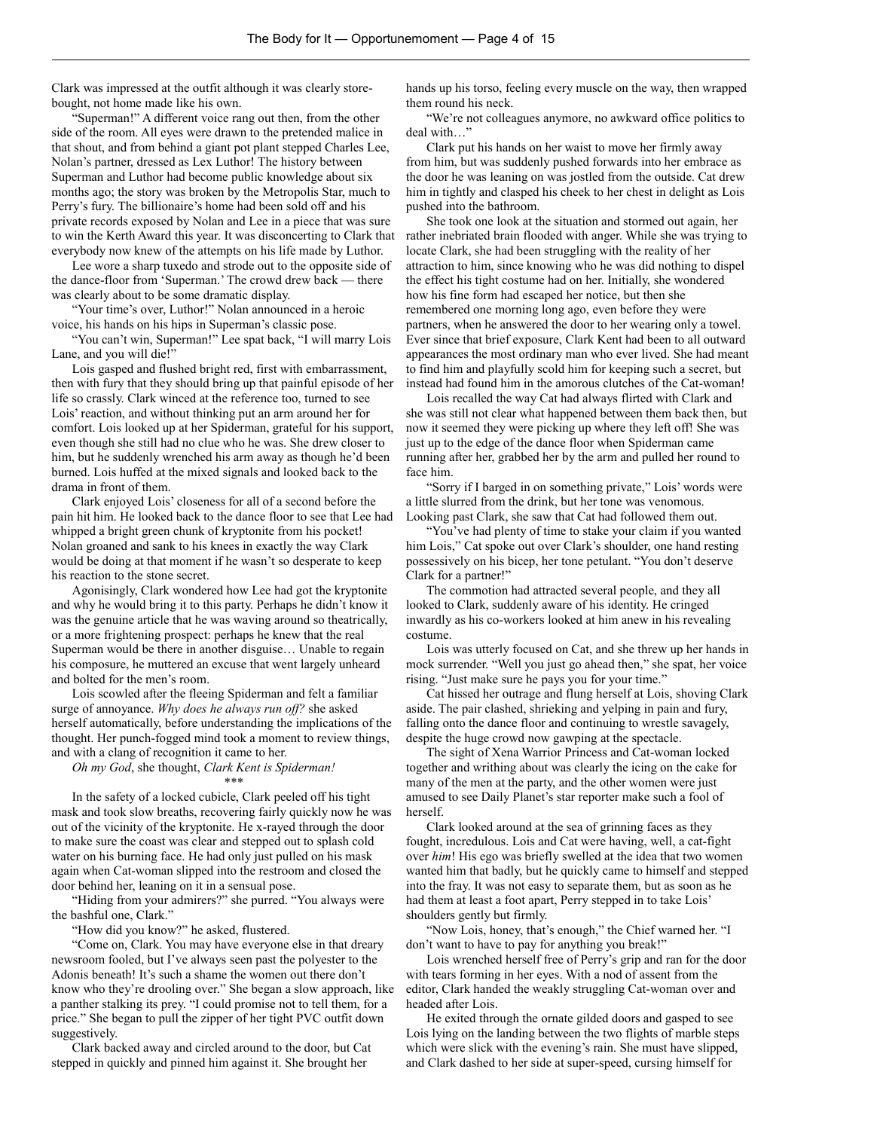Clark was impressed at the outfit although it was clearly storebought, not home made like his own.

"Superman!" A different voice rang out then, from the other side of the room. All eyes were drawn to the pretended malice in that shout, and from behind a giant pot plant stepped Charles Lee, Nolan's partner, dressed as Lex Luthor! The history between Superman and Luthor had become public knowledge about six months ago; the story was broken by the Metropolis Star, much to Perry's fury. The billionaire's home had been sold off and his private records exposed by Nolan and Lee in a piece that was sure to win the Kerth Award this year. It was disconcerting to Clark that everybody now knew of the attempts on his life made by Luthor.

Lee wore a sharp tuxedo and strode out to the opposite side of the dance-floor from 'Superman.' The crowd drew back — there was clearly about to be some dramatic display.

"Your time's over, Luthor!" Nolan announced in a heroic voice, his hands on his hips in Superman's classic pose.

"You can't win, Superman!" Lee spat back, "I will marry Lois Lane, and you will die!"

Lois gasped and flushed bright red, first with embarrassment, then with fury that they should bring up that painful episode of her life so crassly. Clark winced at the reference too, turned to see Lois' reaction, and without thinking put an arm around her for comfort. Lois looked up at her Spiderman, grateful for his support, even though she still had no clue who he was. She drew closer to him, but he suddenly wrenched his arm away as though he'd been burned. Lois huffed at the mixed signals and looked back to the drama in front of them.

Clark enjoyed Lois' closeness for all of a second before the pain hit him. He looked back to the dance floor to see that Lee had whipped a bright green chunk of kryptonite from his pocket! Nolan groaned and sank to his knees in exactly the way Clark would be doing at that moment if he wasn't so desperate to keep his reaction to the stone secret.

Agonisingly, Clark wondered how Lee had got the kryptonite and why he would bring it to this party. Perhaps he didn't know it was the genuine article that he was waving around so theatrically, or a more frightening prospect: perhaps he knew that the real Superman would be there in another disguise… Unable to regain his composure, he muttered an excuse that went largely unheard and bolted for the men's room.

Lois scowled after the fleeing Spiderman and felt a familiar surge of annoyance. *Why does he always run off?* she asked herself automatically, before understanding the implications of the thought. Her punch-fogged mind took a moment to review things, and with a clang of recognition it came to her.

*Oh my God*, she thought, *Clark Kent is Spiderman!* \*\*\*

In the safety of a locked cubicle, Clark peeled off his tight mask and took slow breaths, recovering fairly quickly now he was out of the vicinity of the kryptonite. He x-rayed through the door to make sure the coast was clear and stepped out to splash cold water on his burning face. He had only just pulled on his mask again when Cat-woman slipped into the restroom and closed the door behind her, leaning on it in a sensual pose.

"Hiding from your admirers?" she purred. "You always were the bashful one, Clark."

"How did you know?" he asked, flustered.

"Come on, Clark. You may have everyone else in that dreary newsroom fooled, but I've always seen past the polyester to the Adonis beneath! It's such a shame the women out there don't know who they're drooling over." She began a slow approach, like a panther stalking its prey. "I could promise not to tell them, for a price." She began to pull the zipper of her tight PVC outfit down suggestively.

Clark backed away and circled around to the door, but Cat stepped in quickly and pinned him against it. She brought her

hands up his torso, feeling every muscle on the way, then wrapped them round his neck.

"We're not colleagues anymore, no awkward office politics to deal with…"

Clark put his hands on her waist to move her firmly away from him, but was suddenly pushed forwards into her embrace as the door he was leaning on was jostled from the outside. Cat drew him in tightly and clasped his cheek to her chest in delight as Lois pushed into the bathroom.

She took one look at the situation and stormed out again, her rather inebriated brain flooded with anger. While she was trying to locate Clark, she had been struggling with the reality of her attraction to him, since knowing who he was did nothing to dispel the effect his tight costume had on her. Initially, she wondered how his fine form had escaped her notice, but then she remembered one morning long ago, even before they were partners, when he answered the door to her wearing only a towel. Ever since that brief exposure, Clark Kent had been to all outward appearances the most ordinary man who ever lived. She had meant to find him and playfully scold him for keeping such a secret, but instead had found him in the amorous clutches of the Cat-woman!

Lois recalled the way Cat had always flirted with Clark and she was still not clear what happened between them back then, but now it seemed they were picking up where they left off! She was just up to the edge of the dance floor when Spiderman came running after her, grabbed her by the arm and pulled her round to face him.

"Sorry if I barged in on something private," Lois' words were a little slurred from the drink, but her tone was venomous. Looking past Clark, she saw that Cat had followed them out.

"You've had plenty of time to stake your claim if you wanted him Lois," Cat spoke out over Clark's shoulder, one hand resting possessively on his bicep, her tone petulant. "You don't deserve Clark for a partner!"

The commotion had attracted several people, and they all looked to Clark, suddenly aware of his identity. He cringed inwardly as his co-workers looked at him anew in his revealing costume.

Lois was utterly focused on Cat, and she threw up her hands in mock surrender. "Well you just go ahead then," she spat, her voice rising. "Just make sure he pays you for your time."

Cat hissed her outrage and flung herself at Lois, shoving Clark aside. The pair clashed, shrieking and yelping in pain and fury, falling onto the dance floor and continuing to wrestle savagely, despite the huge crowd now gawping at the spectacle.

The sight of Xena Warrior Princess and Cat-woman locked together and writhing about was clearly the icing on the cake for many of the men at the party, and the other women were just amused to see Daily Planet's star reporter make such a fool of herself.

Clark looked around at the sea of grinning faces as they fought, incredulous. Lois and Cat were having, well, a cat-fight over *him*! His ego was briefly swelled at the idea that two women wanted him that badly, but he quickly came to himself and stepped into the fray. It was not easy to separate them, but as soon as he had them at least a foot apart, Perry stepped in to take Lois' shoulders gently but firmly.

"Now Lois, honey, that's enough," the Chief warned her. "I don't want to have to pay for anything you break!"

Lois wrenched herself free of Perry's grip and ran for the door with tears forming in her eyes. With a nod of assent from the editor, Clark handed the weakly struggling Cat-woman over and headed after Lois.

He exited through the ornate gilded doors and gasped to see Lois lying on the landing between the two flights of marble steps which were slick with the evening's rain. She must have slipped, and Clark dashed to her side at super-speed, cursing himself for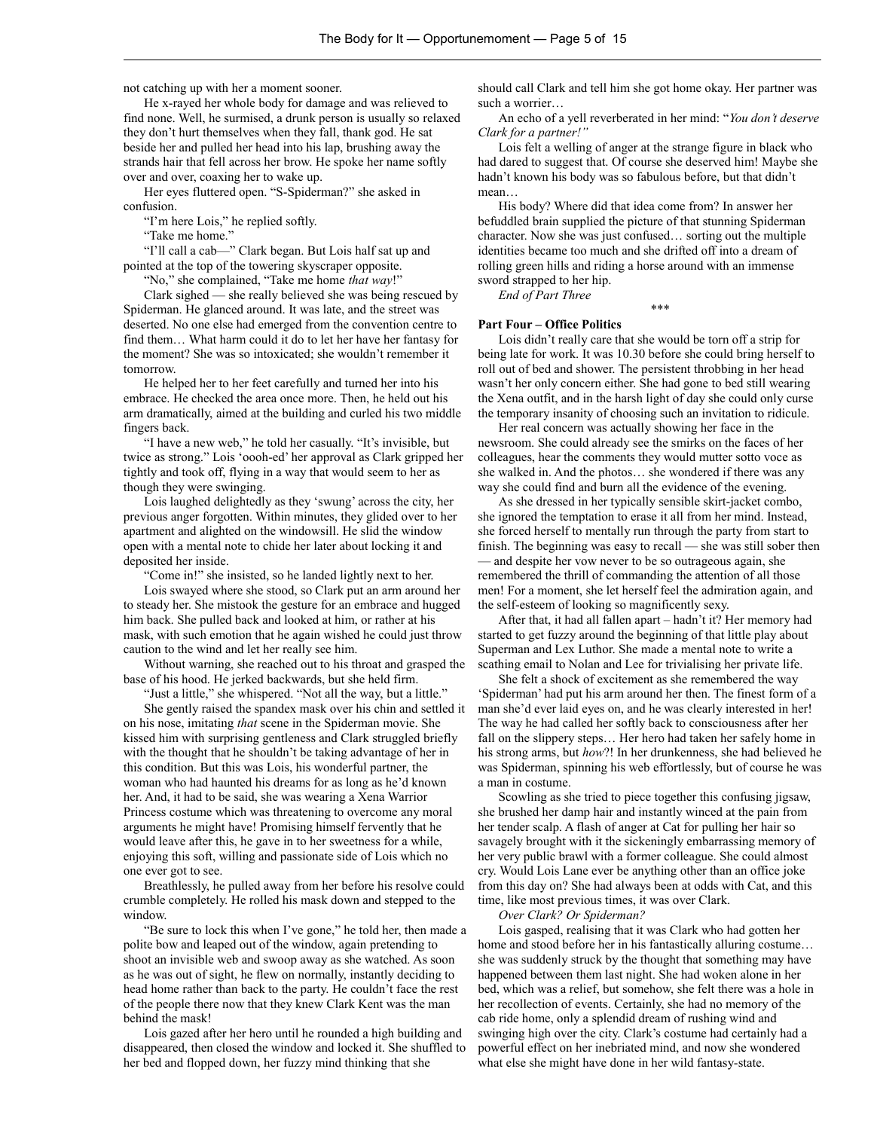not catching up with her a moment sooner.

He x-rayed her whole body for damage and was relieved to find none. Well, he surmised, a drunk person is usually so relaxed they don't hurt themselves when they fall, thank god. He sat beside her and pulled her head into his lap, brushing away the strands hair that fell across her brow. He spoke her name softly over and over, coaxing her to wake up.

Her eyes fluttered open. "S-Spiderman?" she asked in confusion.

"I'm here Lois," he replied softly.

"Take me home."

"I'll call a cab—" Clark began. But Lois half sat up and pointed at the top of the towering skyscraper opposite.

"No," she complained, "Take me home *that way*!"

Clark sighed — she really believed she was being rescued by Spiderman. He glanced around. It was late, and the street was deserted. No one else had emerged from the convention centre to find them… What harm could it do to let her have her fantasy for the moment? She was so intoxicated; she wouldn't remember it tomorrow.

He helped her to her feet carefully and turned her into his embrace. He checked the area once more. Then, he held out his arm dramatically, aimed at the building and curled his two middle fingers back.

"I have a new web," he told her casually. "It's invisible, but twice as strong." Lois 'oooh-ed' her approval as Clark gripped her tightly and took off, flying in a way that would seem to her as though they were swinging.

Lois laughed delightedly as they 'swung' across the city, her previous anger forgotten. Within minutes, they glided over to her apartment and alighted on the windowsill. He slid the window open with a mental note to chide her later about locking it and deposited her inside.

"Come in!" she insisted, so he landed lightly next to her.

Lois swayed where she stood, so Clark put an arm around her to steady her. She mistook the gesture for an embrace and hugged him back. She pulled back and looked at him, or rather at his mask, with such emotion that he again wished he could just throw caution to the wind and let her really see him.

Without warning, she reached out to his throat and grasped the base of his hood. He jerked backwards, but she held firm.

"Just a little," she whispered. "Not all the way, but a little."

She gently raised the spandex mask over his chin and settled it on his nose, imitating *that* scene in the Spiderman movie. She kissed him with surprising gentleness and Clark struggled briefly with the thought that he shouldn't be taking advantage of her in this condition. But this was Lois, his wonderful partner, the woman who had haunted his dreams for as long as he'd known her. And, it had to be said, she was wearing a Xena Warrior Princess costume which was threatening to overcome any moral arguments he might have! Promising himself fervently that he would leave after this, he gave in to her sweetness for a while, enjoying this soft, willing and passionate side of Lois which no one ever got to see.

Breathlessly, he pulled away from her before his resolve could crumble completely. He rolled his mask down and stepped to the window.

"Be sure to lock this when I've gone," he told her, then made a polite bow and leaped out of the window, again pretending to shoot an invisible web and swoop away as she watched. As soon as he was out of sight, he flew on normally, instantly deciding to head home rather than back to the party. He couldn't face the rest of the people there now that they knew Clark Kent was the man behind the mask!

Lois gazed after her hero until he rounded a high building and disappeared, then closed the window and locked it. She shuffled to her bed and flopped down, her fuzzy mind thinking that she

should call Clark and tell him she got home okay. Her partner was such a worrier…

An echo of a yell reverberated in her mind: "*You don't deserve Clark for a partner!"*

Lois felt a welling of anger at the strange figure in black who had dared to suggest that. Of course she deserved him! Maybe she hadn't known his body was so fabulous before, but that didn't mean…

His body? Where did that idea come from? In answer her befuddled brain supplied the picture of that stunning Spiderman character. Now she was just confused… sorting out the multiple identities became too much and she drifted off into a dream of rolling green hills and riding a horse around with an immense sword strapped to her hip.

*End of Part Three*

#### **Part Four – Office Politics**

Lois didn't really care that she would be torn off a strip for being late for work. It was 10.30 before she could bring herself to roll out of bed and shower. The persistent throbbing in her head wasn't her only concern either. She had gone to bed still wearing the Xena outfit, and in the harsh light of day she could only curse the temporary insanity of choosing such an invitation to ridicule.

\*\*\*

Her real concern was actually showing her face in the newsroom. She could already see the smirks on the faces of her colleagues, hear the comments they would mutter sotto voce as she walked in. And the photos… she wondered if there was any way she could find and burn all the evidence of the evening.

As she dressed in her typically sensible skirt-jacket combo, she ignored the temptation to erase it all from her mind. Instead, she forced herself to mentally run through the party from start to finish. The beginning was easy to recall — she was still sober then — and despite her vow never to be so outrageous again, she remembered the thrill of commanding the attention of all those men! For a moment, she let herself feel the admiration again, and the self-esteem of looking so magnificently sexy.

After that, it had all fallen apart – hadn't it? Her memory had started to get fuzzy around the beginning of that little play about Superman and Lex Luthor. She made a mental note to write a scathing email to Nolan and Lee for trivialising her private life.

She felt a shock of excitement as she remembered the way 'Spiderman' had put his arm around her then. The finest form of a man she'd ever laid eyes on, and he was clearly interested in her! The way he had called her softly back to consciousness after her fall on the slippery steps… Her hero had taken her safely home in his strong arms, but *how*?! In her drunkenness, she had believed he was Spiderman, spinning his web effortlessly, but of course he was a man in costume.

Scowling as she tried to piece together this confusing jigsaw, she brushed her damp hair and instantly winced at the pain from her tender scalp. A flash of anger at Cat for pulling her hair so savagely brought with it the sickeningly embarrassing memory of her very public brawl with a former colleague. She could almost cry. Would Lois Lane ever be anything other than an office joke from this day on? She had always been at odds with Cat, and this time, like most previous times, it was over Clark.

*Over Clark? Or Spiderman?*

Lois gasped, realising that it was Clark who had gotten her home and stood before her in his fantastically alluring costume… she was suddenly struck by the thought that something may have happened between them last night. She had woken alone in her bed, which was a relief, but somehow, she felt there was a hole in her recollection of events. Certainly, she had no memory of the cab ride home, only a splendid dream of rushing wind and swinging high over the city. Clark's costume had certainly had a powerful effect on her inebriated mind, and now she wondered what else she might have done in her wild fantasy-state.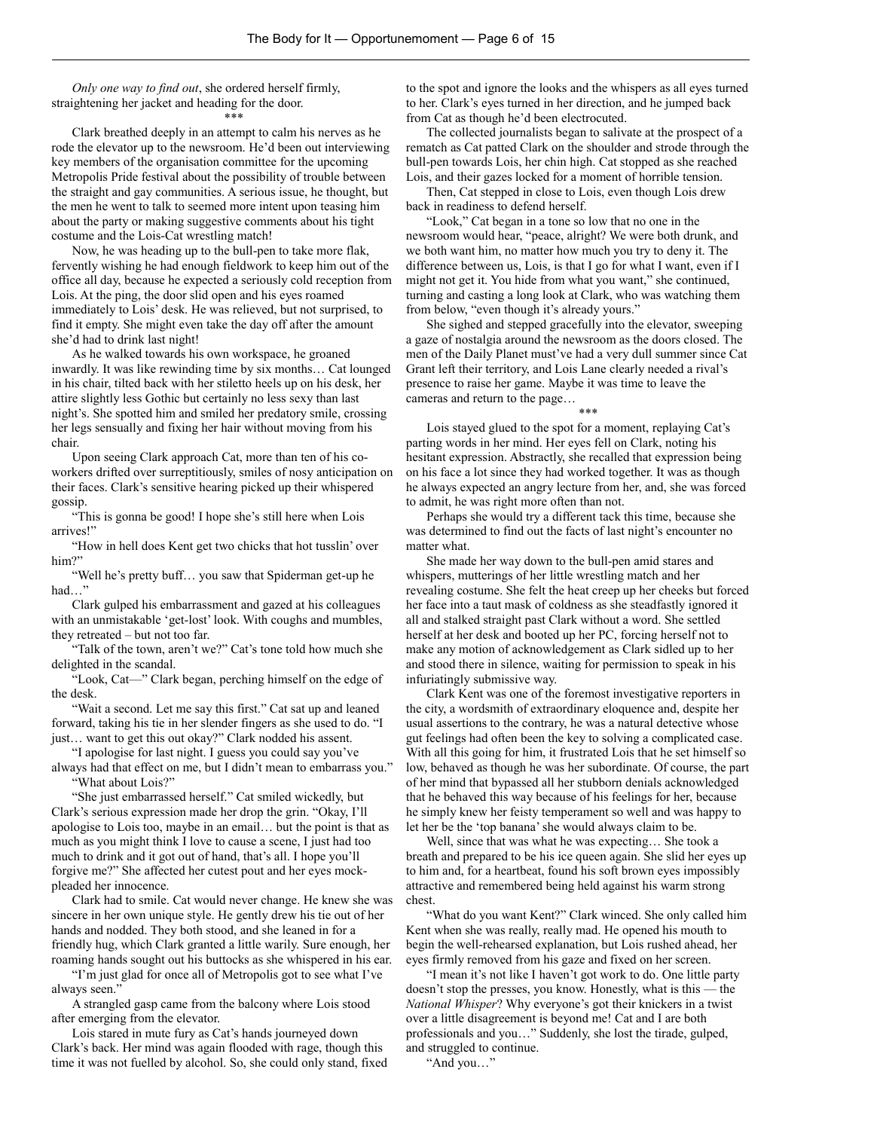*Only one way to find out*, she ordered herself firmly, straightening her jacket and heading for the door. \*\*\*

Clark breathed deeply in an attempt to calm his nerves as he rode the elevator up to the newsroom. He'd been out interviewing key members of the organisation committee for the upcoming Metropolis Pride festival about the possibility of trouble between the straight and gay communities. A serious issue, he thought, but the men he went to talk to seemed more intent upon teasing him about the party or making suggestive comments about his tight costume and the Lois-Cat wrestling match!

Now, he was heading up to the bull-pen to take more flak, fervently wishing he had enough fieldwork to keep him out of the office all day, because he expected a seriously cold reception from Lois. At the ping, the door slid open and his eyes roamed immediately to Lois' desk. He was relieved, but not surprised, to find it empty. She might even take the day off after the amount she'd had to drink last night!

As he walked towards his own workspace, he groaned inwardly. It was like rewinding time by six months… Cat lounged in his chair, tilted back with her stiletto heels up on his desk, her attire slightly less Gothic but certainly no less sexy than last night's. She spotted him and smiled her predatory smile, crossing her legs sensually and fixing her hair without moving from his chair.

Upon seeing Clark approach Cat, more than ten of his coworkers drifted over surreptitiously, smiles of nosy anticipation on their faces. Clark's sensitive hearing picked up their whispered gossip.

"This is gonna be good! I hope she's still here when Lois arrives!"

"How in hell does Kent get two chicks that hot tusslin' over him?"

"Well he's pretty buff… you saw that Spiderman get-up he had…"

Clark gulped his embarrassment and gazed at his colleagues with an unmistakable 'get-lost' look. With coughs and mumbles, they retreated – but not too far.

"Talk of the town, aren't we?" Cat's tone told how much she delighted in the scandal.

"Look, Cat—" Clark began, perching himself on the edge of the desk.

"Wait a second. Let me say this first." Cat sat up and leaned forward, taking his tie in her slender fingers as she used to do. "I just… want to get this out okay?" Clark nodded his assent.

"I apologise for last night. I guess you could say you've

always had that effect on me, but I didn't mean to embarrass you." "What about Lois?"

"She just embarrassed herself." Cat smiled wickedly, but Clark's serious expression made her drop the grin. "Okay, I'll apologise to Lois too, maybe in an email… but the point is that as much as you might think I love to cause a scene, I just had too much to drink and it got out of hand, that's all. I hope you'll forgive me?" She affected her cutest pout and her eyes mockpleaded her innocence.

Clark had to smile. Cat would never change. He knew she was sincere in her own unique style. He gently drew his tie out of her hands and nodded. They both stood, and she leaned in for a friendly hug, which Clark granted a little warily. Sure enough, her roaming hands sought out his buttocks as she whispered in his ear.

"I'm just glad for once all of Metropolis got to see what I've always seen."

A strangled gasp came from the balcony where Lois stood after emerging from the elevator.

Lois stared in mute fury as Cat's hands journeyed down Clark's back. Her mind was again flooded with rage, though this time it was not fuelled by alcohol. So, she could only stand, fixed to the spot and ignore the looks and the whispers as all eyes turned to her. Clark's eyes turned in her direction, and he jumped back from Cat as though he'd been electrocuted.

The collected journalists began to salivate at the prospect of a rematch as Cat patted Clark on the shoulder and strode through the bull-pen towards Lois, her chin high. Cat stopped as she reached Lois, and their gazes locked for a moment of horrible tension.

Then, Cat stepped in close to Lois, even though Lois drew back in readiness to defend herself.

"Look," Cat began in a tone so low that no one in the newsroom would hear, "peace, alright? We were both drunk, and we both want him, no matter how much you try to deny it. The difference between us, Lois, is that I go for what I want, even if I might not get it. You hide from what you want," she continued, turning and casting a long look at Clark, who was watching them from below, "even though it's already yours."

She sighed and stepped gracefully into the elevator, sweeping a gaze of nostalgia around the newsroom as the doors closed. The men of the Daily Planet must've had a very dull summer since Cat Grant left their territory, and Lois Lane clearly needed a rival's presence to raise her game. Maybe it was time to leave the cameras and return to the page…

\*\*\*

Lois stayed glued to the spot for a moment, replaying Cat's parting words in her mind. Her eyes fell on Clark, noting his hesitant expression. Abstractly, she recalled that expression being on his face a lot since they had worked together. It was as though he always expected an angry lecture from her, and, she was forced to admit, he was right more often than not.

Perhaps she would try a different tack this time, because she was determined to find out the facts of last night's encounter no matter what.

She made her way down to the bull-pen amid stares and whispers, mutterings of her little wrestling match and her revealing costume. She felt the heat creep up her cheeks but forced her face into a taut mask of coldness as she steadfastly ignored it all and stalked straight past Clark without a word. She settled herself at her desk and booted up her PC, forcing herself not to make any motion of acknowledgement as Clark sidled up to her and stood there in silence, waiting for permission to speak in his infuriatingly submissive way.

Clark Kent was one of the foremost investigative reporters in the city, a wordsmith of extraordinary eloquence and, despite her usual assertions to the contrary, he was a natural detective whose gut feelings had often been the key to solving a complicated case. With all this going for him, it frustrated Lois that he set himself so low, behaved as though he was her subordinate. Of course, the part of her mind that bypassed all her stubborn denials acknowledged that he behaved this way because of his feelings for her, because he simply knew her feisty temperament so well and was happy to let her be the 'top banana' she would always claim to be.

Well, since that was what he was expecting… She took a breath and prepared to be his ice queen again. She slid her eyes up to him and, for a heartbeat, found his soft brown eyes impossibly attractive and remembered being held against his warm strong chest.

"What do you want Kent?" Clark winced. She only called him Kent when she was really, really mad. He opened his mouth to begin the well-rehearsed explanation, but Lois rushed ahead, her eyes firmly removed from his gaze and fixed on her screen.

"I mean it's not like I haven't got work to do. One little party doesn't stop the presses, you know. Honestly, what is this — the *National Whisper*? Why everyone's got their knickers in a twist over a little disagreement is beyond me! Cat and I are both professionals and you…" Suddenly, she lost the tirade, gulped, and struggled to continue.

"And you…"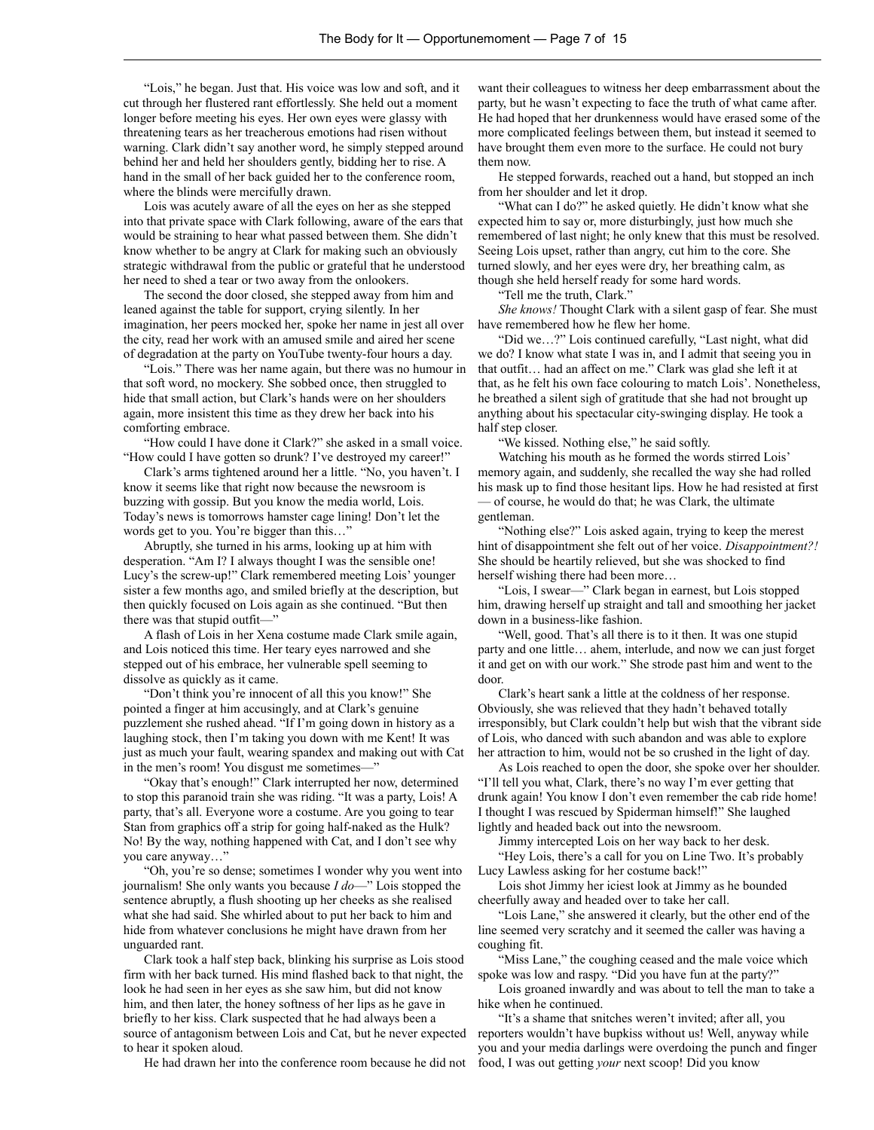"Lois," he began. Just that. His voice was low and soft, and it cut through her flustered rant effortlessly. She held out a moment longer before meeting his eyes. Her own eyes were glassy with threatening tears as her treacherous emotions had risen without warning. Clark didn't say another word, he simply stepped around behind her and held her shoulders gently, bidding her to rise. A hand in the small of her back guided her to the conference room, where the blinds were mercifully drawn.

Lois was acutely aware of all the eyes on her as she stepped into that private space with Clark following, aware of the ears that would be straining to hear what passed between them. She didn't know whether to be angry at Clark for making such an obviously strategic withdrawal from the public or grateful that he understood her need to shed a tear or two away from the onlookers.

The second the door closed, she stepped away from him and leaned against the table for support, crying silently. In her imagination, her peers mocked her, spoke her name in jest all over the city, read her work with an amused smile and aired her scene of degradation at the party on YouTube twenty-four hours a day.

"Lois." There was her name again, but there was no humour in that soft word, no mockery. She sobbed once, then struggled to hide that small action, but Clark's hands were on her shoulders again, more insistent this time as they drew her back into his comforting embrace.

"How could I have done it Clark?" she asked in a small voice. "How could I have gotten so drunk? I've destroyed my career!"

Clark's arms tightened around her a little. "No, you haven't. I know it seems like that right now because the newsroom is buzzing with gossip. But you know the media world, Lois. Today's news is tomorrows hamster cage lining! Don't let the words get to you. You're bigger than this…"

Abruptly, she turned in his arms, looking up at him with desperation. "Am I? I always thought I was the sensible one! Lucy's the screw-up!" Clark remembered meeting Lois' younger sister a few months ago, and smiled briefly at the description, but then quickly focused on Lois again as she continued. "But then there was that stupid outfit—"

A flash of Lois in her Xena costume made Clark smile again, and Lois noticed this time. Her teary eyes narrowed and she stepped out of his embrace, her vulnerable spell seeming to dissolve as quickly as it came.

"Don't think you're innocent of all this you know!" She pointed a finger at him accusingly, and at Clark's genuine puzzlement she rushed ahead. "If I'm going down in history as a laughing stock, then I'm taking you down with me Kent! It was just as much your fault, wearing spandex and making out with Cat in the men's room! You disgust me sometimes—"

"Okay that's enough!" Clark interrupted her now, determined to stop this paranoid train she was riding. "It was a party, Lois! A party, that's all. Everyone wore a costume. Are you going to tear Stan from graphics off a strip for going half-naked as the Hulk? No! By the way, nothing happened with Cat, and I don't see why you care anyway…"

"Oh, you're so dense; sometimes I wonder why you went into journalism! She only wants you because *I do*—" Lois stopped the sentence abruptly, a flush shooting up her cheeks as she realised what she had said. She whirled about to put her back to him and hide from whatever conclusions he might have drawn from her unguarded rant.

Clark took a half step back, blinking his surprise as Lois stood firm with her back turned. His mind flashed back to that night, the look he had seen in her eyes as she saw him, but did not know him, and then later, the honey softness of her lips as he gave in briefly to her kiss. Clark suspected that he had always been a source of antagonism between Lois and Cat, but he never expected to hear it spoken aloud.

He had drawn her into the conference room because he did not

want their colleagues to witness her deep embarrassment about the party, but he wasn't expecting to face the truth of what came after. He had hoped that her drunkenness would have erased some of the more complicated feelings between them, but instead it seemed to have brought them even more to the surface. He could not bury them now.

He stepped forwards, reached out a hand, but stopped an inch from her shoulder and let it drop.

"What can I do?" he asked quietly. He didn't know what she expected him to say or, more disturbingly, just how much she remembered of last night; he only knew that this must be resolved. Seeing Lois upset, rather than angry, cut him to the core. She turned slowly, and her eyes were dry, her breathing calm, as though she held herself ready for some hard words.

"Tell me the truth, Clark."

*She knows!* Thought Clark with a silent gasp of fear. She must have remembered how he flew her home.

"Did we…?" Lois continued carefully, "Last night, what did we do? I know what state I was in, and I admit that seeing you in that outfit… had an affect on me." Clark was glad she left it at that, as he felt his own face colouring to match Lois'. Nonetheless, he breathed a silent sigh of gratitude that she had not brought up anything about his spectacular city-swinging display. He took a half step closer.

"We kissed. Nothing else," he said softly.

Watching his mouth as he formed the words stirred Lois' memory again, and suddenly, she recalled the way she had rolled his mask up to find those hesitant lips. How he had resisted at first — of course, he would do that; he was Clark, the ultimate gentleman.

"Nothing else?" Lois asked again, trying to keep the merest hint of disappointment she felt out of her voice. *Disappointment?!* She should be heartily relieved, but she was shocked to find herself wishing there had been more…

"Lois, I swear—" Clark began in earnest, but Lois stopped him, drawing herself up straight and tall and smoothing her jacket down in a business-like fashion.

"Well, good. That's all there is to it then. It was one stupid party and one little… ahem, interlude, and now we can just forget it and get on with our work." She strode past him and went to the door.

Clark's heart sank a little at the coldness of her response. Obviously, she was relieved that they hadn't behaved totally irresponsibly, but Clark couldn't help but wish that the vibrant side of Lois, who danced with such abandon and was able to explore her attraction to him, would not be so crushed in the light of day.

As Lois reached to open the door, she spoke over her shoulder. "I'll tell you what, Clark, there's no way I'm ever getting that drunk again! You know I don't even remember the cab ride home! I thought I was rescued by Spiderman himself!" She laughed lightly and headed back out into the newsroom.

Jimmy intercepted Lois on her way back to her desk.

"Hey Lois, there's a call for you on Line Two. It's probably Lucy Lawless asking for her costume back!"

Lois shot Jimmy her iciest look at Jimmy as he bounded cheerfully away and headed over to take her call.

"Lois Lane," she answered it clearly, but the other end of the line seemed very scratchy and it seemed the caller was having a coughing fit.

"Miss Lane," the coughing ceased and the male voice which spoke was low and raspy. "Did you have fun at the party?"

Lois groaned inwardly and was about to tell the man to take a hike when he continued.

"It's a shame that snitches weren't invited; after all, you reporters wouldn't have bupkiss without us! Well, anyway while you and your media darlings were overdoing the punch and finger food, I was out getting *your* next scoop! Did you know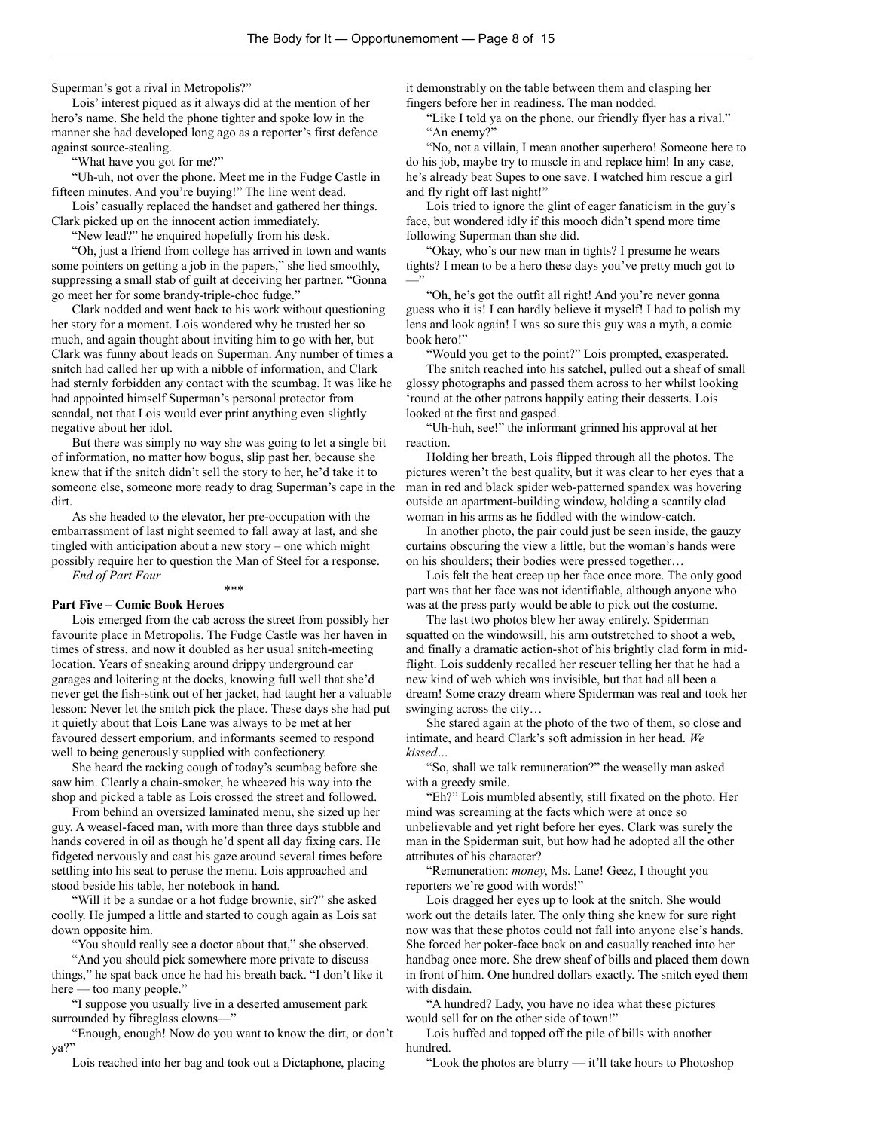Superman's got a rival in Metropolis?"

Lois' interest piqued as it always did at the mention of her hero's name. She held the phone tighter and spoke low in the manner she had developed long ago as a reporter's first defence against source-stealing.

"What have you got for me?"

"Uh-uh, not over the phone. Meet me in the Fudge Castle in fifteen minutes. And you're buying!" The line went dead.

Lois' casually replaced the handset and gathered her things. Clark picked up on the innocent action immediately.

"New lead?" he enquired hopefully from his desk.

"Oh, just a friend from college has arrived in town and wants some pointers on getting a job in the papers," she lied smoothly, suppressing a small stab of guilt at deceiving her partner. "Gonna go meet her for some brandy-triple-choc fudge."

Clark nodded and went back to his work without questioning her story for a moment. Lois wondered why he trusted her so much, and again thought about inviting him to go with her, but Clark was funny about leads on Superman. Any number of times a snitch had called her up with a nibble of information, and Clark had sternly forbidden any contact with the scumbag. It was like he had appointed himself Superman's personal protector from scandal, not that Lois would ever print anything even slightly negative about her idol.

But there was simply no way she was going to let a single bit of information, no matter how bogus, slip past her, because she knew that if the snitch didn't sell the story to her, he'd take it to someone else, someone more ready to drag Superman's cape in the dirt.

As she headed to the elevator, her pre-occupation with the embarrassment of last night seemed to fall away at last, and she tingled with anticipation about a new story – one which might possibly require her to question the Man of Steel for a response. *End of Part Four*

\*\*\*

#### **Part Five – Comic Book Heroes**

Lois emerged from the cab across the street from possibly her favourite place in Metropolis. The Fudge Castle was her haven in times of stress, and now it doubled as her usual snitch-meeting location. Years of sneaking around drippy underground car garages and loitering at the docks, knowing full well that she'd never get the fish-stink out of her jacket, had taught her a valuable lesson: Never let the snitch pick the place. These days she had put it quietly about that Lois Lane was always to be met at her favoured dessert emporium, and informants seemed to respond well to being generously supplied with confectionery.

She heard the racking cough of today's scumbag before she saw him. Clearly a chain-smoker, he wheezed his way into the shop and picked a table as Lois crossed the street and followed.

From behind an oversized laminated menu, she sized up her guy. A weasel-faced man, with more than three days stubble and hands covered in oil as though he'd spent all day fixing cars. He fidgeted nervously and cast his gaze around several times before settling into his seat to peruse the menu. Lois approached and stood beside his table, her notebook in hand.

"Will it be a sundae or a hot fudge brownie, sir?" she asked coolly. He jumped a little and started to cough again as Lois sat down opposite him.

"You should really see a doctor about that," she observed.

"And you should pick somewhere more private to discuss things," he spat back once he had his breath back. "I don't like it here — too many people."

"I suppose you usually live in a deserted amusement park surrounded by fibreglass clowns—"

"Enough, enough! Now do you want to know the dirt, or don't ya?"

Lois reached into her bag and took out a Dictaphone, placing

it demonstrably on the table between them and clasping her fingers before her in readiness. The man nodded.

"Like I told ya on the phone, our friendly flyer has a rival." "An enemy?"

"No, not a villain, I mean another superhero! Someone here to do his job, maybe try to muscle in and replace him! In any case, he's already beat Supes to one save. I watched him rescue a girl and fly right off last night!"

Lois tried to ignore the glint of eager fanaticism in the guy's face, but wondered idly if this mooch didn't spend more time following Superman than she did.

"Okay, who's our new man in tights? I presume he wears tights? I mean to be a hero these days you've pretty much got to —"

"Oh, he's got the outfit all right! And you're never gonna guess who it is! I can hardly believe it myself! I had to polish my lens and look again! I was so sure this guy was a myth, a comic book hero!"

"Would you get to the point?" Lois prompted, exasperated. The snitch reached into his satchel, pulled out a sheaf of small glossy photographs and passed them across to her whilst looking 'round at the other patrons happily eating their desserts. Lois looked at the first and gasped.

"Uh-huh, see!" the informant grinned his approval at her reaction.

Holding her breath, Lois flipped through all the photos. The pictures weren't the best quality, but it was clear to her eyes that a man in red and black spider web-patterned spandex was hovering outside an apartment-building window, holding a scantily clad woman in his arms as he fiddled with the window-catch.

In another photo, the pair could just be seen inside, the gauzy curtains obscuring the view a little, but the woman's hands were on his shoulders; their bodies were pressed together…

Lois felt the heat creep up her face once more. The only good part was that her face was not identifiable, although anyone who was at the press party would be able to pick out the costume.

The last two photos blew her away entirely. Spiderman squatted on the windowsill, his arm outstretched to shoot a web, and finally a dramatic action-shot of his brightly clad form in midflight. Lois suddenly recalled her rescuer telling her that he had a new kind of web which was invisible, but that had all been a dream! Some crazy dream where Spiderman was real and took her swinging across the city…

She stared again at the photo of the two of them, so close and intimate, and heard Clark's soft admission in her head. *We kissed…*

"So, shall we talk remuneration?" the weaselly man asked with a greedy smile.

"Eh?" Lois mumbled absently, still fixated on the photo. Her mind was screaming at the facts which were at once so unbelievable and yet right before her eyes. Clark was surely the man in the Spiderman suit, but how had he adopted all the other attributes of his character?

"Remuneration: *money*, Ms. Lane! Geez, I thought you reporters we're good with words!"

Lois dragged her eyes up to look at the snitch. She would work out the details later. The only thing she knew for sure right now was that these photos could not fall into anyone else's hands. She forced her poker-face back on and casually reached into her handbag once more. She drew sheaf of bills and placed them down in front of him. One hundred dollars exactly. The snitch eyed them with disdain.

"A hundred? Lady, you have no idea what these pictures would sell for on the other side of town!"

Lois huffed and topped off the pile of bills with another hundred.

"Look the photos are blurry — it'll take hours to Photoshop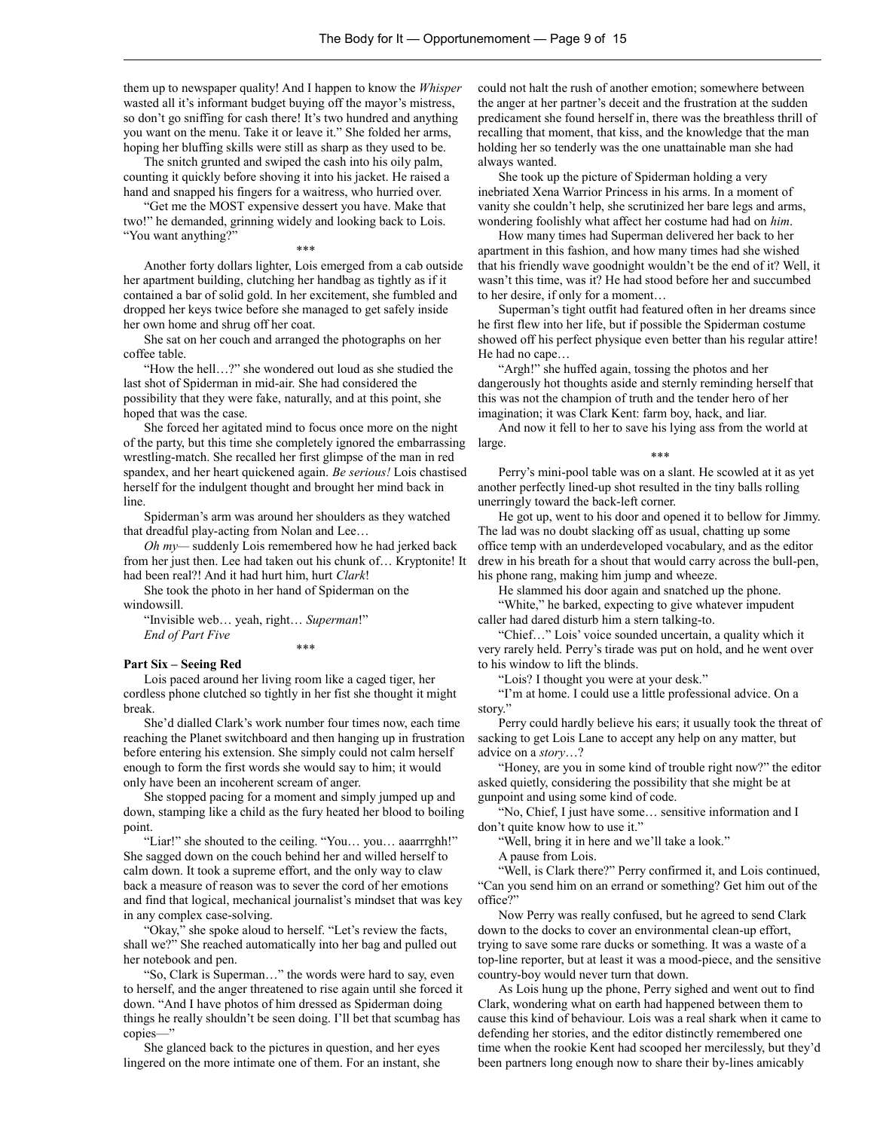them up to newspaper quality! And I happen to know the *Whisper* wasted all it's informant budget buying off the mayor's mistress, so don't go sniffing for cash there! It's two hundred and anything you want on the menu. Take it or leave it." She folded her arms, hoping her bluffing skills were still as sharp as they used to be.

The snitch grunted and swiped the cash into his oily palm, counting it quickly before shoving it into his jacket. He raised a hand and snapped his fingers for a waitress, who hurried over.

"Get me the MOST expensive dessert you have. Make that two!" he demanded, grinning widely and looking back to Lois. "You want anything?"

Another forty dollars lighter, Lois emerged from a cab outside her apartment building, clutching her handbag as tightly as if it contained a bar of solid gold. In her excitement, she fumbled and dropped her keys twice before she managed to get safely inside her own home and shrug off her coat.

\*\*\*

She sat on her couch and arranged the photographs on her coffee table.

"How the hell…?" she wondered out loud as she studied the last shot of Spiderman in mid-air. She had considered the possibility that they were fake, naturally, and at this point, she hoped that was the case.

She forced her agitated mind to focus once more on the night of the party, but this time she completely ignored the embarrassing large. wrestling-match. She recalled her first glimpse of the man in red spandex, and her heart quickened again. *Be serious!* Lois chastised herself for the indulgent thought and brought her mind back in line.

Spiderman's arm was around her shoulders as they watched that dreadful play-acting from Nolan and Lee…

*Oh my—* suddenly Lois remembered how he had jerked back from her just then. Lee had taken out his chunk of… Kryptonite! It had been real?! And it had hurt him, hurt *Clark*!

She took the photo in her hand of Spiderman on the windowsill.

"Invisible web… yeah, right… *Superman*!" *End of Part Five* \*\*\*

#### **Part Six – Seeing Red**

Lois paced around her living room like a caged tiger, her cordless phone clutched so tightly in her fist she thought it might break.

She'd dialled Clark's work number four times now, each time reaching the Planet switchboard and then hanging up in frustration before entering his extension. She simply could not calm herself enough to form the first words she would say to him; it would only have been an incoherent scream of anger.

She stopped pacing for a moment and simply jumped up and down, stamping like a child as the fury heated her blood to boiling point.

"Liar!" she shouted to the ceiling. "You… you… aaarrrghh!" She sagged down on the couch behind her and willed herself to calm down. It took a supreme effort, and the only way to claw back a measure of reason was to sever the cord of her emotions and find that logical, mechanical journalist's mindset that was key in any complex case-solving.

"Okay," she spoke aloud to herself. "Let's review the facts, shall we?" She reached automatically into her bag and pulled out her notebook and pen.

"So, Clark is Superman…" the words were hard to say, even to herself, and the anger threatened to rise again until she forced it down. "And I have photos of him dressed as Spiderman doing things he really shouldn't be seen doing. I'll bet that scumbag has copies—"

She glanced back to the pictures in question, and her eyes lingered on the more intimate one of them. For an instant, she could not halt the rush of another emotion; somewhere between the anger at her partner's deceit and the frustration at the sudden predicament she found herself in, there was the breathless thrill of recalling that moment, that kiss, and the knowledge that the man holding her so tenderly was the one unattainable man she had always wanted.

She took up the picture of Spiderman holding a very inebriated Xena Warrior Princess in his arms. In a moment of vanity she couldn't help, she scrutinized her bare legs and arms, wondering foolishly what affect her costume had had on *him*.

How many times had Superman delivered her back to her apartment in this fashion, and how many times had she wished that his friendly wave goodnight wouldn't be the end of it? Well, it wasn't this time, was it? He had stood before her and succumbed to her desire, if only for a moment…

Superman's tight outfit had featured often in her dreams since he first flew into her life, but if possible the Spiderman costume showed off his perfect physique even better than his regular attire! He had no cape…

"Argh!" she huffed again, tossing the photos and her dangerously hot thoughts aside and sternly reminding herself that this was not the champion of truth and the tender hero of her imagination; it was Clark Kent: farm boy, hack, and liar.

And now it fell to her to save his lying ass from the world at

\*\*\*

Perry's mini-pool table was on a slant. He scowled at it as yet another perfectly lined-up shot resulted in the tiny balls rolling unerringly toward the back-left corner.

He got up, went to his door and opened it to bellow for Jimmy. The lad was no doubt slacking off as usual, chatting up some office temp with an underdeveloped vocabulary, and as the editor drew in his breath for a shout that would carry across the bull-pen, his phone rang, making him jump and wheeze.

He slammed his door again and snatched up the phone.

"White," he barked, expecting to give whatever impudent caller had dared disturb him a stern talking-to.

"Chief…" Lois' voice sounded uncertain, a quality which it very rarely held. Perry's tirade was put on hold, and he went over to his window to lift the blinds.

"Lois? I thought you were at your desk."

"I'm at home. I could use a little professional advice. On a story."

Perry could hardly believe his ears; it usually took the threat of sacking to get Lois Lane to accept any help on any matter, but advice on a *story*…?

"Honey, are you in some kind of trouble right now?" the editor asked quietly, considering the possibility that she might be at gunpoint and using some kind of code.

"No, Chief, I just have some… sensitive information and I don't quite know how to use it."

"Well, bring it in here and we'll take a look."

A pause from Lois.

"Well, is Clark there?" Perry confirmed it, and Lois continued, "Can you send him on an errand or something? Get him out of the office?"

Now Perry was really confused, but he agreed to send Clark down to the docks to cover an environmental clean-up effort, trying to save some rare ducks or something. It was a waste of a top-line reporter, but at least it was a mood-piece, and the sensitive country-boy would never turn that down.

As Lois hung up the phone, Perry sighed and went out to find Clark, wondering what on earth had happened between them to cause this kind of behaviour. Lois was a real shark when it came to defending her stories, and the editor distinctly remembered one time when the rookie Kent had scooped her mercilessly, but they'd been partners long enough now to share their by-lines amicably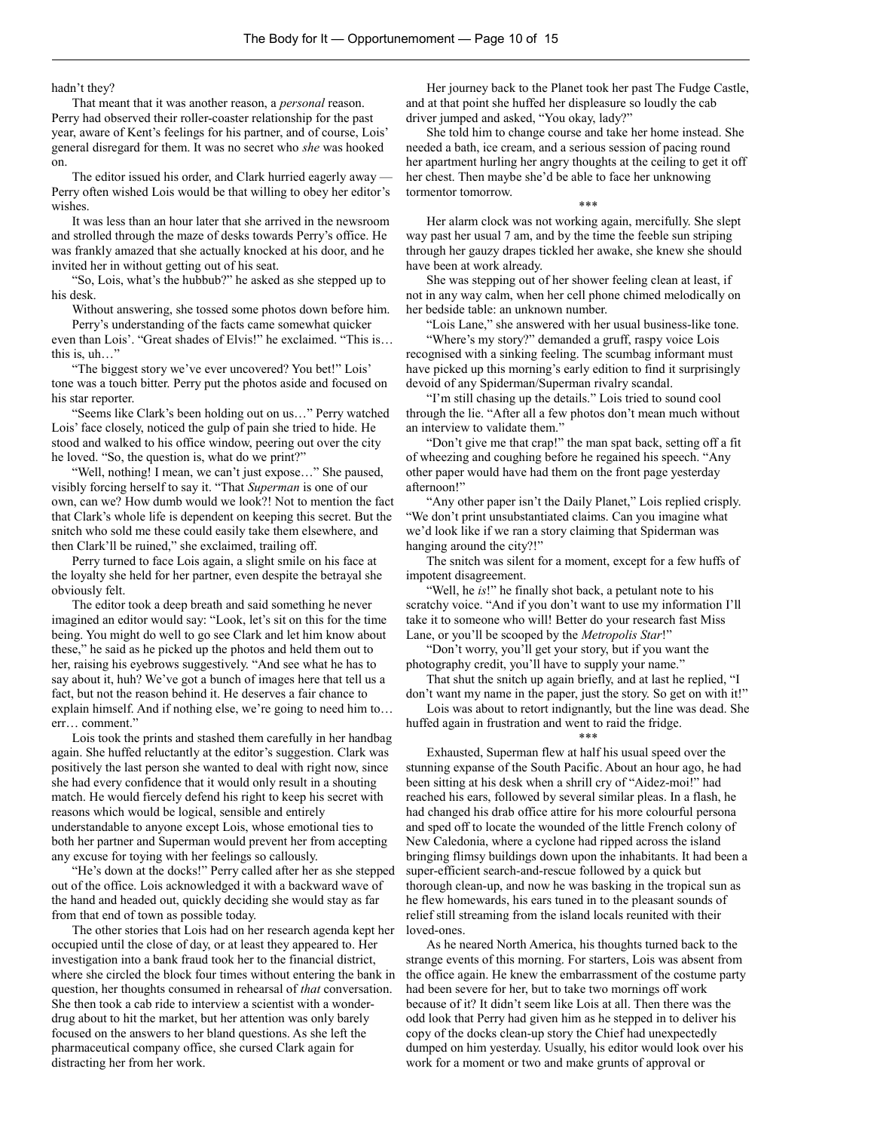hadn't they?

That meant that it was another reason, a *personal* reason. Perry had observed their roller-coaster relationship for the past year, aware of Kent's feelings for his partner, and of course, Lois' general disregard for them. It was no secret who *she* was hooked on.

The editor issued his order, and Clark hurried eagerly away — Perry often wished Lois would be that willing to obey her editor's wishes.

It was less than an hour later that she arrived in the newsroom and strolled through the maze of desks towards Perry's office. He was frankly amazed that she actually knocked at his door, and he invited her in without getting out of his seat.

"So, Lois, what's the hubbub?" he asked as she stepped up to his desk.

Without answering, she tossed some photos down before him. Perry's understanding of the facts came somewhat quicker

even than Lois'. "Great shades of Elvis!" he exclaimed. "This is… this is, uh…"

"The biggest story we've ever uncovered? You bet!" Lois' tone was a touch bitter. Perry put the photos aside and focused on his star reporter.

"Seems like Clark's been holding out on us…" Perry watched Lois' face closely, noticed the gulp of pain she tried to hide. He stood and walked to his office window, peering out over the city he loved. "So, the question is, what do we print?"

"Well, nothing! I mean, we can't just expose…" She paused, visibly forcing herself to say it. "That *Superman* is one of our own, can we? How dumb would we look?! Not to mention the fact that Clark's whole life is dependent on keeping this secret. But the snitch who sold me these could easily take them elsewhere, and then Clark'll be ruined," she exclaimed, trailing off.

Perry turned to face Lois again, a slight smile on his face at the loyalty she held for her partner, even despite the betrayal she obviously felt.

The editor took a deep breath and said something he never imagined an editor would say: "Look, let's sit on this for the time being. You might do well to go see Clark and let him know about these," he said as he picked up the photos and held them out to her, raising his eyebrows suggestively. "And see what he has to say about it, huh? We've got a bunch of images here that tell us a fact, but not the reason behind it. He deserves a fair chance to explain himself. And if nothing else, we're going to need him to… err… comment."

Lois took the prints and stashed them carefully in her handbag again. She huffed reluctantly at the editor's suggestion. Clark was positively the last person she wanted to deal with right now, since she had every confidence that it would only result in a shouting match. He would fiercely defend his right to keep his secret with reasons which would be logical, sensible and entirely understandable to anyone except Lois, whose emotional ties to both her partner and Superman would prevent her from accepting any excuse for toying with her feelings so callously.

"He's down at the docks!" Perry called after her as she stepped out of the office. Lois acknowledged it with a backward wave of the hand and headed out, quickly deciding she would stay as far from that end of town as possible today.

The other stories that Lois had on her research agenda kept her occupied until the close of day, or at least they appeared to. Her investigation into a bank fraud took her to the financial district, where she circled the block four times without entering the bank in question, her thoughts consumed in rehearsal of *that* conversation. She then took a cab ride to interview a scientist with a wonderdrug about to hit the market, but her attention was only barely focused on the answers to her bland questions. As she left the pharmaceutical company office, she cursed Clark again for distracting her from her work.

Her journey back to the Planet took her past The Fudge Castle, and at that point she huffed her displeasure so loudly the cab driver jumped and asked, "You okay, lady?"

She told him to change course and take her home instead. She needed a bath, ice cream, and a serious session of pacing round her apartment hurling her angry thoughts at the ceiling to get it off her chest. Then maybe she'd be able to face her unknowing tormentor tomorrow.

\*\*\*

Her alarm clock was not working again, mercifully. She slept way past her usual 7 am, and by the time the feeble sun striping through her gauzy drapes tickled her awake, she knew she should have been at work already.

She was stepping out of her shower feeling clean at least, if not in any way calm, when her cell phone chimed melodically on her bedside table: an unknown number.

"Lois Lane," she answered with her usual business-like tone.

"Where's my story?" demanded a gruff, raspy voice Lois recognised with a sinking feeling. The scumbag informant must have picked up this morning's early edition to find it surprisingly devoid of any Spiderman/Superman rivalry scandal.

"I'm still chasing up the details." Lois tried to sound cool through the lie. "After all a few photos don't mean much without an interview to validate them."

"Don't give me that crap!" the man spat back, setting off a fit of wheezing and coughing before he regained his speech. "Any other paper would have had them on the front page yesterday afternoon!"

"Any other paper isn't the Daily Planet," Lois replied crisply. "We don't print unsubstantiated claims. Can you imagine what we'd look like if we ran a story claiming that Spiderman was hanging around the city?!"

The snitch was silent for a moment, except for a few huffs of impotent disagreement.

"Well, he *is*!" he finally shot back, a petulant note to his scratchy voice. "And if you don't want to use my information I'll take it to someone who will! Better do your research fast Miss Lane, or you'll be scooped by the *Metropolis Star*!"

"Don't worry, you'll get your story, but if you want the photography credit, you'll have to supply your name."

That shut the snitch up again briefly, and at last he replied, "I don't want my name in the paper, just the story. So get on with it!"

Lois was about to retort indignantly, but the line was dead. She huffed again in frustration and went to raid the fridge.

#### \*\*\*

Exhausted, Superman flew at half his usual speed over the stunning expanse of the South Pacific. About an hour ago, he had been sitting at his desk when a shrill cry of "Aidez-moi!" had reached his ears, followed by several similar pleas. In a flash, he had changed his drab office attire for his more colourful persona and sped off to locate the wounded of the little French colony of New Caledonia, where a cyclone had ripped across the island bringing flimsy buildings down upon the inhabitants. It had been a super-efficient search-and-rescue followed by a quick but thorough clean-up, and now he was basking in the tropical sun as he flew homewards, his ears tuned in to the pleasant sounds of relief still streaming from the island locals reunited with their loved-ones.

As he neared North America, his thoughts turned back to the strange events of this morning. For starters, Lois was absent from the office again. He knew the embarrassment of the costume party had been severe for her, but to take two mornings off work because of it? It didn't seem like Lois at all. Then there was the odd look that Perry had given him as he stepped in to deliver his copy of the docks clean-up story the Chief had unexpectedly dumped on him yesterday. Usually, his editor would look over his work for a moment or two and make grunts of approval or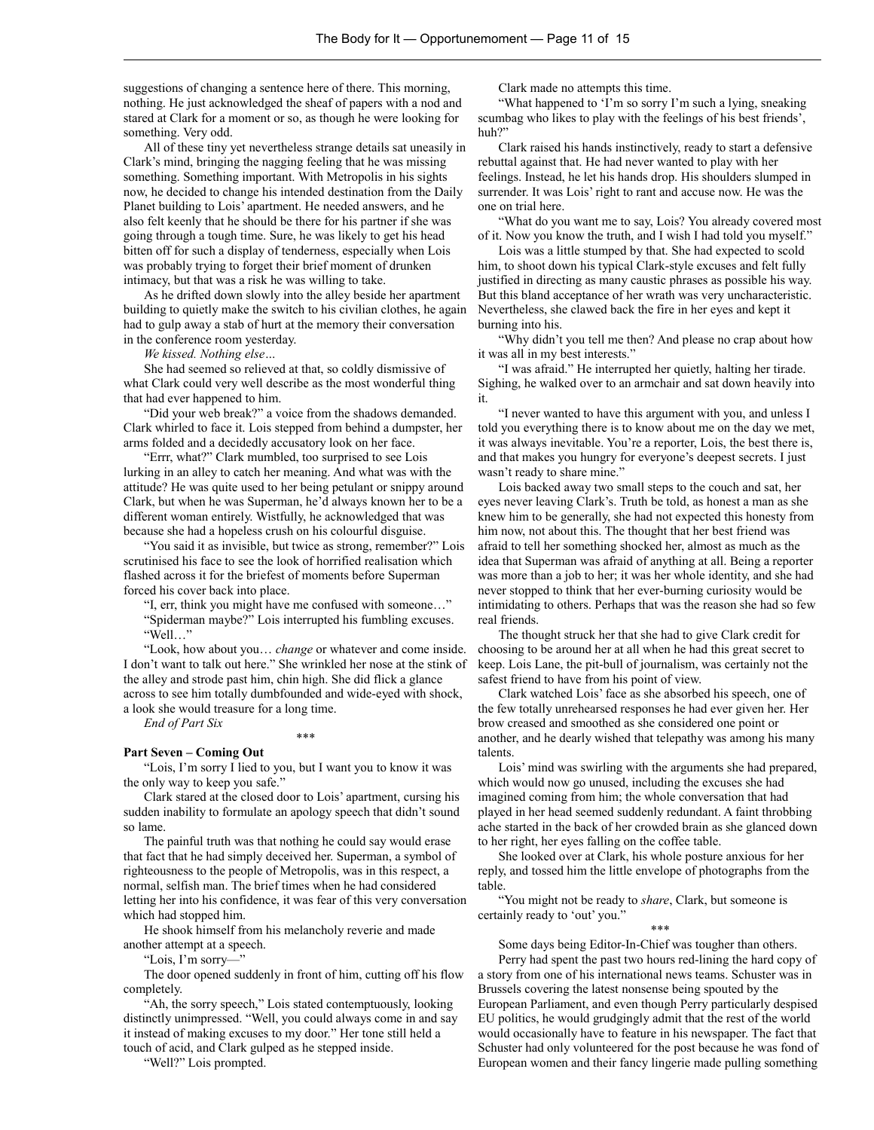suggestions of changing a sentence here of there. This morning, nothing. He just acknowledged the sheaf of papers with a nod and stared at Clark for a moment or so, as though he were looking for something. Very odd.

All of these tiny yet nevertheless strange details sat uneasily in Clark's mind, bringing the nagging feeling that he was missing something. Something important. With Metropolis in his sights now, he decided to change his intended destination from the Daily Planet building to Lois' apartment. He needed answers, and he also felt keenly that he should be there for his partner if she was going through a tough time. Sure, he was likely to get his head bitten off for such a display of tenderness, especially when Lois was probably trying to forget their brief moment of drunken intimacy, but that was a risk he was willing to take.

As he drifted down slowly into the alley beside her apartment building to quietly make the switch to his civilian clothes, he again had to gulp away a stab of hurt at the memory their conversation in the conference room yesterday.

*We kissed. Nothing else…*

She had seemed so relieved at that, so coldly dismissive of what Clark could very well describe as the most wonderful thing that had ever happened to him.

"Did your web break?" a voice from the shadows demanded. Clark whirled to face it. Lois stepped from behind a dumpster, her arms folded and a decidedly accusatory look on her face.

"Errr, what?" Clark mumbled, too surprised to see Lois lurking in an alley to catch her meaning. And what was with the attitude? He was quite used to her being petulant or snippy around Clark, but when he was Superman, he'd always known her to be a different woman entirely. Wistfully, he acknowledged that was because she had a hopeless crush on his colourful disguise.

"You said it as invisible, but twice as strong, remember?" Lois scrutinised his face to see the look of horrified realisation which flashed across it for the briefest of moments before Superman forced his cover back into place.

"I, err, think you might have me confused with someone…" "Spiderman maybe?" Lois interrupted his fumbling excuses. "Well…"

"Look, how about you… *change* or whatever and come inside. I don't want to talk out here." She wrinkled her nose at the stink of the alley and strode past him, chin high. She did flick a glance across to see him totally dumbfounded and wide-eyed with shock, a look she would treasure for a long time.

\*\*\*

*End of Part Six*

### **Part Seven – Coming Out**

"Lois, I'm sorry I lied to you, but I want you to know it was the only way to keep you safe."

Clark stared at the closed door to Lois' apartment, cursing his sudden inability to formulate an apology speech that didn't sound so lame.

The painful truth was that nothing he could say would erase that fact that he had simply deceived her. Superman, a symbol of righteousness to the people of Metropolis, was in this respect, a normal, selfish man. The brief times when he had considered letting her into his confidence, it was fear of this very conversation which had stopped him.

He shook himself from his melancholy reverie and made another attempt at a speech.

"Lois, I'm sorry—"

The door opened suddenly in front of him, cutting off his flow completely.

"Ah, the sorry speech," Lois stated contemptuously, looking distinctly unimpressed. "Well, you could always come in and say it instead of making excuses to my door." Her tone still held a touch of acid, and Clark gulped as he stepped inside.

"Well?" Lois prompted.

Clark made no attempts this time.

"What happened to 'I'm so sorry I'm such a lying, sneaking scumbag who likes to play with the feelings of his best friends', huh?"

Clark raised his hands instinctively, ready to start a defensive rebuttal against that. He had never wanted to play with her feelings. Instead, he let his hands drop. His shoulders slumped in surrender. It was Lois' right to rant and accuse now. He was the one on trial here.

"What do you want me to say, Lois? You already covered most of it. Now you know the truth, and I wish I had told you myself."

Lois was a little stumped by that. She had expected to scold him, to shoot down his typical Clark-style excuses and felt fully justified in directing as many caustic phrases as possible his way. But this bland acceptance of her wrath was very uncharacteristic. Nevertheless, she clawed back the fire in her eyes and kept it burning into his.

"Why didn't you tell me then? And please no crap about how it was all in my best interests."

"I was afraid." He interrupted her quietly, halting her tirade. Sighing, he walked over to an armchair and sat down heavily into it.

"I never wanted to have this argument with you, and unless I told you everything there is to know about me on the day we met, it was always inevitable. You're a reporter, Lois, the best there is, and that makes you hungry for everyone's deepest secrets. I just wasn't ready to share mine."

Lois backed away two small steps to the couch and sat, her eyes never leaving Clark's. Truth be told, as honest a man as she knew him to be generally, she had not expected this honesty from him now, not about this. The thought that her best friend was afraid to tell her something shocked her, almost as much as the idea that Superman was afraid of anything at all. Being a reporter was more than a job to her; it was her whole identity, and she had never stopped to think that her ever-burning curiosity would be intimidating to others. Perhaps that was the reason she had so few real friends.

The thought struck her that she had to give Clark credit for choosing to be around her at all when he had this great secret to keep. Lois Lane, the pit-bull of journalism, was certainly not the safest friend to have from his point of view.

Clark watched Lois' face as she absorbed his speech, one of the few totally unrehearsed responses he had ever given her. Her brow creased and smoothed as she considered one point or another, and he dearly wished that telepathy was among his many talents.

Lois' mind was swirling with the arguments she had prepared, which would now go unused, including the excuses she had imagined coming from him; the whole conversation that had played in her head seemed suddenly redundant. A faint throbbing ache started in the back of her crowded brain as she glanced down to her right, her eyes falling on the coffee table.

She looked over at Clark, his whole posture anxious for her reply, and tossed him the little envelope of photographs from the table.

"You might not be ready to *share*, Clark, but someone is certainly ready to 'out' you."

\*\*\*

Some days being Editor-In-Chief was tougher than others. Perry had spent the past two hours red-lining the hard copy of a story from one of his international news teams. Schuster was in

Brussels covering the latest nonsense being spouted by the European Parliament, and even though Perry particularly despised EU politics, he would grudgingly admit that the rest of the world would occasionally have to feature in his newspaper. The fact that Schuster had only volunteered for the post because he was fond of European women and their fancy lingerie made pulling something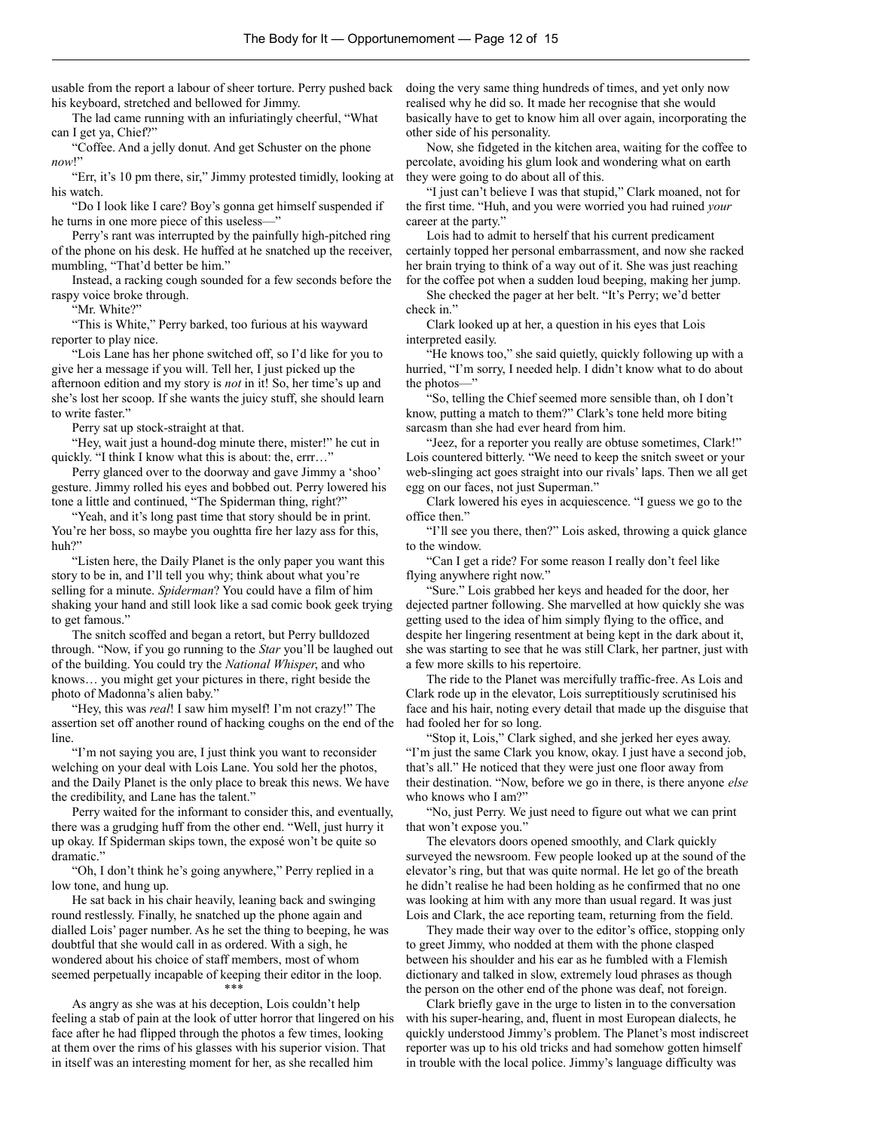usable from the report a labour of sheer torture. Perry pushed back his keyboard, stretched and bellowed for Jimmy.

The lad came running with an infuriatingly cheerful, "What can I get ya, Chief?"

"Coffee. And a jelly donut. And get Schuster on the phone *now*!"

"Err, it's 10 pm there, sir," Jimmy protested timidly, looking at his watch.

"Do I look like I care? Boy's gonna get himself suspended if he turns in one more piece of this useless—"

Perry's rant was interrupted by the painfully high-pitched ring of the phone on his desk. He huffed at he snatched up the receiver, mumbling, "That'd better be him."

Instead, a racking cough sounded for a few seconds before the raspy voice broke through.

"Mr. White?"

"This is White," Perry barked, too furious at his wayward reporter to play nice.

"Lois Lane has her phone switched off, so I'd like for you to give her a message if you will. Tell her, I just picked up the afternoon edition and my story is *not* in it! So, her time's up and she's lost her scoop. If she wants the juicy stuff, she should learn to write faster."

Perry sat up stock-straight at that.

"Hey, wait just a hound-dog minute there, mister!" he cut in quickly. "I think I know what this is about: the, errr…"

Perry glanced over to the doorway and gave Jimmy a 'shoo' gesture. Jimmy rolled his eyes and bobbed out. Perry lowered his tone a little and continued, "The Spiderman thing, right?"

"Yeah, and it's long past time that story should be in print. You're her boss, so maybe you oughtta fire her lazy ass for this, huh?"

"Listen here, the Daily Planet is the only paper you want this story to be in, and I'll tell you why; think about what you're selling for a minute. *Spiderman*? You could have a film of him shaking your hand and still look like a sad comic book geek trying to get famous."

The snitch scoffed and began a retort, but Perry bulldozed through. "Now, if you go running to the *Star* you'll be laughed out of the building. You could try the *National Whisper*, and who knows… you might get your pictures in there, right beside the photo of Madonna's alien baby."

"Hey, this was *real*! I saw him myself! I'm not crazy!" The assertion set off another round of hacking coughs on the end of the line.

"I'm not saying you are, I just think you want to reconsider welching on your deal with Lois Lane. You sold her the photos, and the Daily Planet is the only place to break this news. We have the credibility, and Lane has the talent."

Perry waited for the informant to consider this, and eventually, there was a grudging huff from the other end. "Well, just hurry it up okay. If Spiderman skips town, the exposé won't be quite so dramatic."

"Oh, I don't think he's going anywhere," Perry replied in a low tone, and hung up.

He sat back in his chair heavily, leaning back and swinging round restlessly. Finally, he snatched up the phone again and dialled Lois' pager number. As he set the thing to beeping, he was doubtful that she would call in as ordered. With a sigh, he wondered about his choice of staff members, most of whom seemed perpetually incapable of keeping their editor in the loop. \*\*\*

As angry as she was at his deception, Lois couldn't help feeling a stab of pain at the look of utter horror that lingered on his face after he had flipped through the photos a few times, looking at them over the rims of his glasses with his superior vision. That in itself was an interesting moment for her, as she recalled him

doing the very same thing hundreds of times, and yet only now realised why he did so. It made her recognise that she would basically have to get to know him all over again, incorporating the other side of his personality.

Now, she fidgeted in the kitchen area, waiting for the coffee to percolate, avoiding his glum look and wondering what on earth they were going to do about all of this.

"I just can't believe I was that stupid," Clark moaned, not for the first time. "Huh, and you were worried you had ruined *your* career at the party."

Lois had to admit to herself that his current predicament certainly topped her personal embarrassment, and now she racked her brain trying to think of a way out of it. She was just reaching for the coffee pot when a sudden loud beeping, making her jump.

She checked the pager at her belt. "It's Perry; we'd better check in."

Clark looked up at her, a question in his eyes that Lois interpreted easily.

"He knows too," she said quietly, quickly following up with a hurried, "I'm sorry, I needed help. I didn't know what to do about the photos—"

"So, telling the Chief seemed more sensible than, oh I don't know, putting a match to them?" Clark's tone held more biting sarcasm than she had ever heard from him.

"Jeez, for a reporter you really are obtuse sometimes, Clark!" Lois countered bitterly. "We need to keep the snitch sweet or your web-slinging act goes straight into our rivals' laps. Then we all get egg on our faces, not just Superman."

Clark lowered his eyes in acquiescence. "I guess we go to the office then."

"I'll see you there, then?" Lois asked, throwing a quick glance to the window.

"Can I get a ride? For some reason I really don't feel like flying anywhere right now."

"Sure." Lois grabbed her keys and headed for the door, her dejected partner following. She marvelled at how quickly she was getting used to the idea of him simply flying to the office, and despite her lingering resentment at being kept in the dark about it, she was starting to see that he was still Clark, her partner, just with a few more skills to his repertoire.

The ride to the Planet was mercifully traffic-free. As Lois and Clark rode up in the elevator, Lois surreptitiously scrutinised his face and his hair, noting every detail that made up the disguise that had fooled her for so long.

"Stop it, Lois," Clark sighed, and she jerked her eyes away. "I'm just the same Clark you know, okay. I just have a second job, that's all." He noticed that they were just one floor away from their destination. "Now, before we go in there, is there anyone *else* who knows who I am?"

"No, just Perry. We just need to figure out what we can print that won't expose you."

The elevators doors opened smoothly, and Clark quickly surveyed the newsroom. Few people looked up at the sound of the elevator's ring, but that was quite normal. He let go of the breath he didn't realise he had been holding as he confirmed that no one was looking at him with any more than usual regard. It was just Lois and Clark, the ace reporting team, returning from the field.

They made their way over to the editor's office, stopping only to greet Jimmy, who nodded at them with the phone clasped between his shoulder and his ear as he fumbled with a Flemish dictionary and talked in slow, extremely loud phrases as though the person on the other end of the phone was deaf, not foreign.

Clark briefly gave in the urge to listen in to the conversation with his super-hearing, and, fluent in most European dialects, he quickly understood Jimmy's problem. The Planet's most indiscreet reporter was up to his old tricks and had somehow gotten himself in trouble with the local police. Jimmy's language difficulty was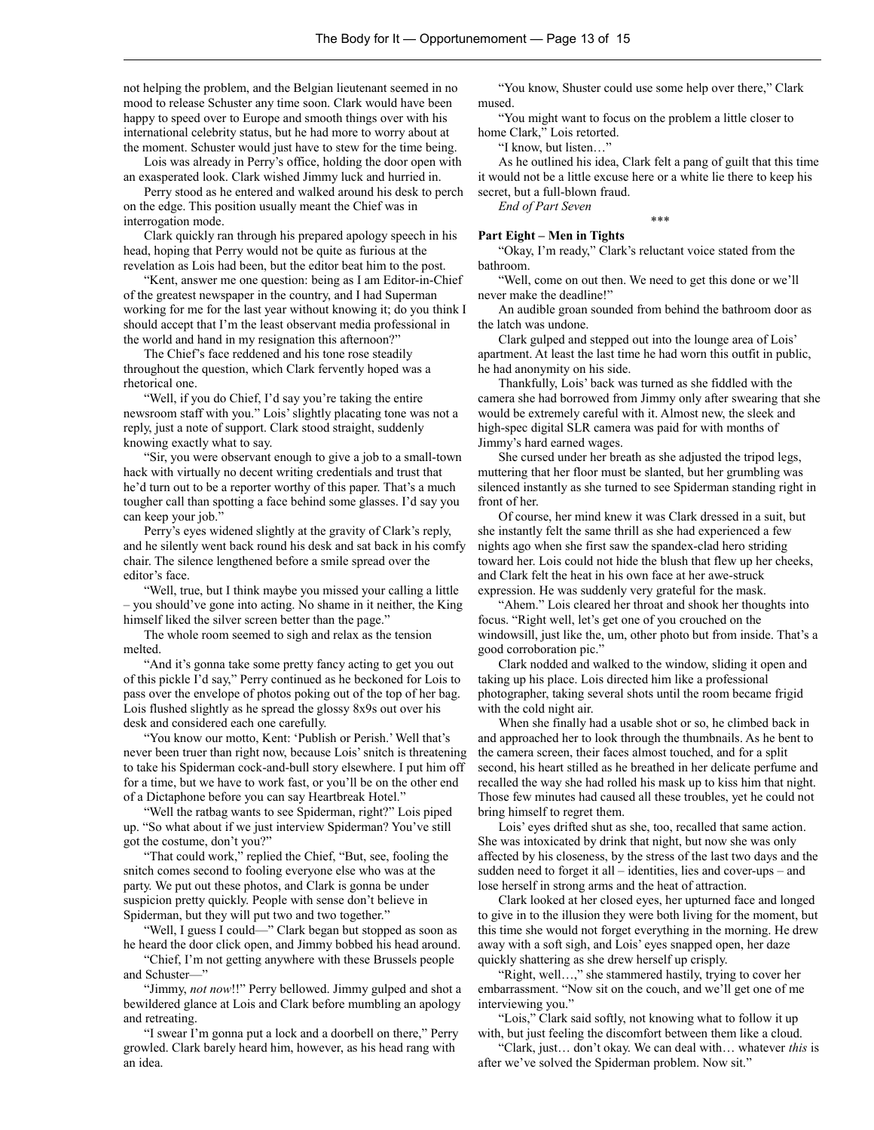not helping the problem, and the Belgian lieutenant seemed in no mood to release Schuster any time soon. Clark would have been happy to speed over to Europe and smooth things over with his international celebrity status, but he had more to worry about at the moment. Schuster would just have to stew for the time being.

Lois was already in Perry's office, holding the door open with an exasperated look. Clark wished Jimmy luck and hurried in.

Perry stood as he entered and walked around his desk to perch on the edge. This position usually meant the Chief was in interrogation mode.

Clark quickly ran through his prepared apology speech in his head, hoping that Perry would not be quite as furious at the revelation as Lois had been, but the editor beat him to the post.

"Kent, answer me one question: being as I am Editor-in-Chief of the greatest newspaper in the country, and I had Superman working for me for the last year without knowing it; do you think I should accept that I'm the least observant media professional in the world and hand in my resignation this afternoon?"

The Chief's face reddened and his tone rose steadily throughout the question, which Clark fervently hoped was a rhetorical one.

"Well, if you do Chief, I'd say you're taking the entire newsroom staff with you." Lois' slightly placating tone was not a reply, just a note of support. Clark stood straight, suddenly knowing exactly what to say.

"Sir, you were observant enough to give a job to a small-town hack with virtually no decent writing credentials and trust that he'd turn out to be a reporter worthy of this paper. That's a much tougher call than spotting a face behind some glasses. I'd say you can keep your job."

Perry's eyes widened slightly at the gravity of Clark's reply, and he silently went back round his desk and sat back in his comfy chair. The silence lengthened before a smile spread over the editor's face.

"Well, true, but I think maybe you missed your calling a little – you should've gone into acting. No shame in it neither, the King himself liked the silver screen better than the page."

The whole room seemed to sigh and relax as the tension melted.

"And it's gonna take some pretty fancy acting to get you out of this pickle I'd say," Perry continued as he beckoned for Lois to pass over the envelope of photos poking out of the top of her bag. Lois flushed slightly as he spread the glossy 8x9s out over his desk and considered each one carefully.

"You know our motto, Kent: 'Publish or Perish.' Well that's never been truer than right now, because Lois' snitch is threatening to take his Spiderman cock-and-bull story elsewhere. I put him off for a time, but we have to work fast, or you'll be on the other end of a Dictaphone before you can say Heartbreak Hotel."

"Well the ratbag wants to see Spiderman, right?" Lois piped up. "So what about if we just interview Spiderman? You've still got the costume, don't you?"

"That could work," replied the Chief, "But, see, fooling the snitch comes second to fooling everyone else who was at the party. We put out these photos, and Clark is gonna be under suspicion pretty quickly. People with sense don't believe in Spiderman, but they will put two and two together."

"Well, I guess I could—" Clark began but stopped as soon as he heard the door click open, and Jimmy bobbed his head around.

"Chief, I'm not getting anywhere with these Brussels people and Schuster—"

"Jimmy, *not now*!!" Perry bellowed. Jimmy gulped and shot a bewildered glance at Lois and Clark before mumbling an apology and retreating.

"I swear I'm gonna put a lock and a doorbell on there," Perry growled. Clark barely heard him, however, as his head rang with an idea.

"You know, Shuster could use some help over there," Clark mused.

"You might want to focus on the problem a little closer to home Clark," Lois retorted.

"I know, but listen…"

As he outlined his idea, Clark felt a pang of guilt that this time it would not be a little excuse here or a white lie there to keep his secret, but a full-blown fraud.

\*\*\*

*End of Part Seven*

#### **Part Eight – Men in Tights**

"Okay, I'm ready," Clark's reluctant voice stated from the bathroom.

"Well, come on out then. We need to get this done or we'll never make the deadline!"

An audible groan sounded from behind the bathroom door as the latch was undone.

Clark gulped and stepped out into the lounge area of Lois' apartment. At least the last time he had worn this outfit in public, he had anonymity on his side.

Thankfully, Lois' back was turned as she fiddled with the camera she had borrowed from Jimmy only after swearing that she would be extremely careful with it. Almost new, the sleek and high-spec digital SLR camera was paid for with months of Jimmy's hard earned wages.

She cursed under her breath as she adjusted the tripod legs, muttering that her floor must be slanted, but her grumbling was silenced instantly as she turned to see Spiderman standing right in front of her.

Of course, her mind knew it was Clark dressed in a suit, but she instantly felt the same thrill as she had experienced a few nights ago when she first saw the spandex-clad hero striding toward her. Lois could not hide the blush that flew up her cheeks, and Clark felt the heat in his own face at her awe-struck expression. He was suddenly very grateful for the mask.

"Ahem." Lois cleared her throat and shook her thoughts into focus. "Right well, let's get one of you crouched on the windowsill, just like the, um, other photo but from inside. That's a good corroboration pic."

Clark nodded and walked to the window, sliding it open and taking up his place. Lois directed him like a professional photographer, taking several shots until the room became frigid with the cold night air.

When she finally had a usable shot or so, he climbed back in and approached her to look through the thumbnails. As he bent to the camera screen, their faces almost touched, and for a split second, his heart stilled as he breathed in her delicate perfume and recalled the way she had rolled his mask up to kiss him that night. Those few minutes had caused all these troubles, yet he could not bring himself to regret them.

Lois' eyes drifted shut as she, too, recalled that same action. She was intoxicated by drink that night, but now she was only affected by his closeness, by the stress of the last two days and the sudden need to forget it all – identities, lies and cover-ups – and lose herself in strong arms and the heat of attraction.

Clark looked at her closed eyes, her upturned face and longed to give in to the illusion they were both living for the moment, but this time she would not forget everything in the morning. He drew away with a soft sigh, and Lois' eyes snapped open, her daze quickly shattering as she drew herself up crisply.

"Right, well…," she stammered hastily, trying to cover her embarrassment. "Now sit on the couch, and we'll get one of me interviewing you."

"Lois," Clark said softly, not knowing what to follow it up with, but just feeling the discomfort between them like a cloud.

"Clark, just… don't okay. We can deal with… whatever *this* is after we've solved the Spiderman problem. Now sit."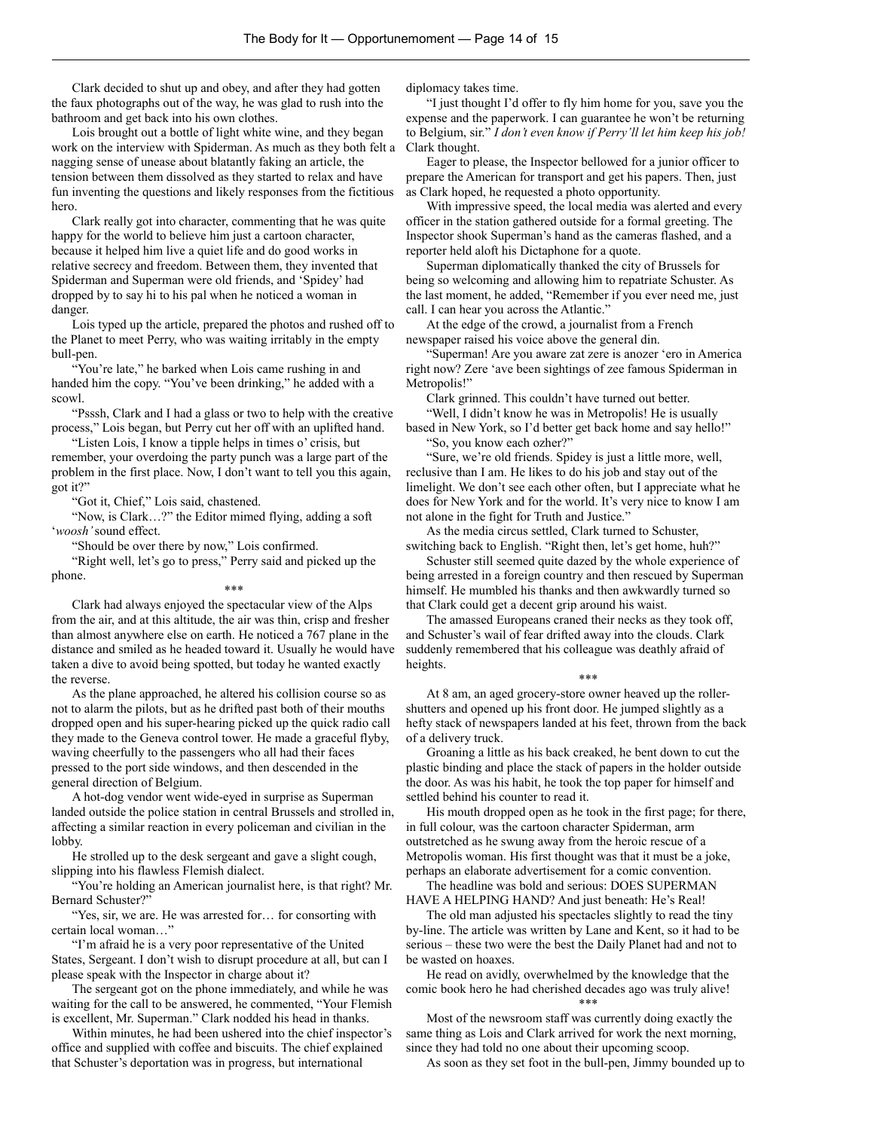Clark decided to shut up and obey, and after they had gotten the faux photographs out of the way, he was glad to rush into the bathroom and get back into his own clothes.

Lois brought out a bottle of light white wine, and they began work on the interview with Spiderman. As much as they both felt a nagging sense of unease about blatantly faking an article, the tension between them dissolved as they started to relax and have fun inventing the questions and likely responses from the fictitious hero.

Clark really got into character, commenting that he was quite happy for the world to believe him just a cartoon character, because it helped him live a quiet life and do good works in relative secrecy and freedom. Between them, they invented that Spiderman and Superman were old friends, and 'Spidey' had dropped by to say hi to his pal when he noticed a woman in danger.

Lois typed up the article, prepared the photos and rushed off to the Planet to meet Perry, who was waiting irritably in the empty bull-pen.

"You're late," he barked when Lois came rushing in and handed him the copy. "You've been drinking," he added with a scowl.

"Psssh, Clark and I had a glass or two to help with the creative process," Lois began, but Perry cut her off with an uplifted hand.

"Listen Lois, I know a tipple helps in times o' crisis, but remember, your overdoing the party punch was a large part of the problem in the first place. Now, I don't want to tell you this again, got it?"

"Got it, Chief," Lois said, chastened.

"Now, is Clark…?" the Editor mimed flying, adding a soft '*woosh'* sound effect.

"Should be over there by now," Lois confirmed.

"Right well, let's go to press," Perry said and picked up the phone.

\*\*\*

Clark had always enjoyed the spectacular view of the Alps from the air, and at this altitude, the air was thin, crisp and fresher than almost anywhere else on earth. He noticed a 767 plane in the distance and smiled as he headed toward it. Usually he would have taken a dive to avoid being spotted, but today he wanted exactly the reverse.

As the plane approached, he altered his collision course so as not to alarm the pilots, but as he drifted past both of their mouths dropped open and his super-hearing picked up the quick radio call they made to the Geneva control tower. He made a graceful flyby, waving cheerfully to the passengers who all had their faces pressed to the port side windows, and then descended in the general direction of Belgium.

A hot-dog vendor went wide-eyed in surprise as Superman landed outside the police station in central Brussels and strolled in, affecting a similar reaction in every policeman and civilian in the lobby.

He strolled up to the desk sergeant and gave a slight cough, slipping into his flawless Flemish dialect.

"You're holding an American journalist here, is that right? Mr. Bernard Schuster?"

"Yes, sir, we are. He was arrested for… for consorting with certain local woman…"

"I'm afraid he is a very poor representative of the United States, Sergeant. I don't wish to disrupt procedure at all, but can I please speak with the Inspector in charge about it?

The sergeant got on the phone immediately, and while he was waiting for the call to be answered, he commented, "Your Flemish is excellent, Mr. Superman." Clark nodded his head in thanks.

Within minutes, he had been ushered into the chief inspector's office and supplied with coffee and biscuits. The chief explained that Schuster's deportation was in progress, but international

diplomacy takes time.

"I just thought I'd offer to fly him home for you, save you the expense and the paperwork. I can guarantee he won't be returning to Belgium, sir." *I don't even know if Perry'll let him keep his job!* Clark thought.

Eager to please, the Inspector bellowed for a junior officer to prepare the American for transport and get his papers. Then, just as Clark hoped, he requested a photo opportunity.

With impressive speed, the local media was alerted and every officer in the station gathered outside for a formal greeting. The Inspector shook Superman's hand as the cameras flashed, and a reporter held aloft his Dictaphone for a quote.

Superman diplomatically thanked the city of Brussels for being so welcoming and allowing him to repatriate Schuster. As the last moment, he added, "Remember if you ever need me, just call. I can hear you across the Atlantic."

At the edge of the crowd, a journalist from a French newspaper raised his voice above the general din.

"Superman! Are you aware zat zere is anozer 'ero in America right now? Zere 'ave been sightings of zee famous Spiderman in Metropolis!"

Clark grinned. This couldn't have turned out better. "Well, I didn't know he was in Metropolis! He is usually

based in New York, so I'd better get back home and say hello!" "So, you know each ozher?"

"Sure, we're old friends. Spidey is just a little more, well, reclusive than I am. He likes to do his job and stay out of the limelight. We don't see each other often, but I appreciate what he does for New York and for the world. It's very nice to know I am not alone in the fight for Truth and Justice."

As the media circus settled, Clark turned to Schuster, switching back to English. "Right then, let's get home, huh?"

Schuster still seemed quite dazed by the whole experience of being arrested in a foreign country and then rescued by Superman himself. He mumbled his thanks and then awkwardly turned so that Clark could get a decent grip around his waist.

The amassed Europeans craned their necks as they took off, and Schuster's wail of fear drifted away into the clouds. Clark suddenly remembered that his colleague was deathly afraid of heights.

\*\*\*

At 8 am, an aged grocery-store owner heaved up the rollershutters and opened up his front door. He jumped slightly as a hefty stack of newspapers landed at his feet, thrown from the back of a delivery truck.

Groaning a little as his back creaked, he bent down to cut the plastic binding and place the stack of papers in the holder outside the door. As was his habit, he took the top paper for himself and settled behind his counter to read it.

His mouth dropped open as he took in the first page; for there, in full colour, was the cartoon character Spiderman, arm outstretched as he swung away from the heroic rescue of a Metropolis woman. His first thought was that it must be a joke, perhaps an elaborate advertisement for a comic convention.

The headline was bold and serious: DOES SUPERMAN HAVE A HELPING HAND? And just beneath: He's Real!

The old man adjusted his spectacles slightly to read the tiny by-line. The article was written by Lane and Kent, so it had to be serious – these two were the best the Daily Planet had and not to be wasted on hoaxes.

He read on avidly, overwhelmed by the knowledge that the comic book hero he had cherished decades ago was truly alive! \*\*\*

Most of the newsroom staff was currently doing exactly the same thing as Lois and Clark arrived for work the next morning, since they had told no one about their upcoming scoop.

As soon as they set foot in the bull-pen, Jimmy bounded up to